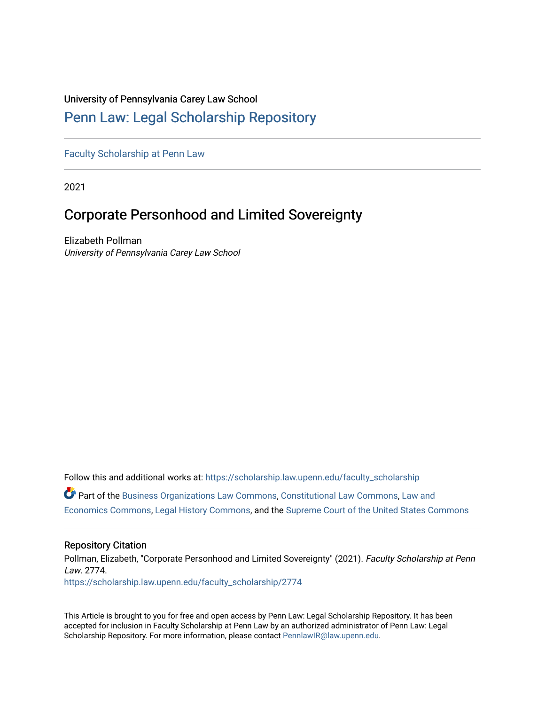## University of Pennsylvania Carey Law School

# [Penn Law: Legal Scholarship Repository](https://scholarship.law.upenn.edu/)

[Faculty Scholarship at Penn Law](https://scholarship.law.upenn.edu/faculty_scholarship)

2021

# Corporate Personhood and Limited Sovereignty

Elizabeth Pollman University of Pennsylvania Carey Law School

Follow this and additional works at: [https://scholarship.law.upenn.edu/faculty\\_scholarship](https://scholarship.law.upenn.edu/faculty_scholarship?utm_source=scholarship.law.upenn.edu%2Ffaculty_scholarship%2F2774&utm_medium=PDF&utm_campaign=PDFCoverPages)  Part of the [Business Organizations Law Commons](http://network.bepress.com/hgg/discipline/900?utm_source=scholarship.law.upenn.edu%2Ffaculty_scholarship%2F2774&utm_medium=PDF&utm_campaign=PDFCoverPages), [Constitutional Law Commons](http://network.bepress.com/hgg/discipline/589?utm_source=scholarship.law.upenn.edu%2Ffaculty_scholarship%2F2774&utm_medium=PDF&utm_campaign=PDFCoverPages), [Law and](http://network.bepress.com/hgg/discipline/612?utm_source=scholarship.law.upenn.edu%2Ffaculty_scholarship%2F2774&utm_medium=PDF&utm_campaign=PDFCoverPages)  [Economics Commons,](http://network.bepress.com/hgg/discipline/612?utm_source=scholarship.law.upenn.edu%2Ffaculty_scholarship%2F2774&utm_medium=PDF&utm_campaign=PDFCoverPages) [Legal History Commons](http://network.bepress.com/hgg/discipline/904?utm_source=scholarship.law.upenn.edu%2Ffaculty_scholarship%2F2774&utm_medium=PDF&utm_campaign=PDFCoverPages), and the [Supreme Court of the United States Commons](http://network.bepress.com/hgg/discipline/1350?utm_source=scholarship.law.upenn.edu%2Ffaculty_scholarship%2F2774&utm_medium=PDF&utm_campaign=PDFCoverPages) 

### Repository Citation

Pollman, Elizabeth, "Corporate Personhood and Limited Sovereignty" (2021). Faculty Scholarship at Penn Law. 2774. [https://scholarship.law.upenn.edu/faculty\\_scholarship/2774](https://scholarship.law.upenn.edu/faculty_scholarship/2774?utm_source=scholarship.law.upenn.edu%2Ffaculty_scholarship%2F2774&utm_medium=PDF&utm_campaign=PDFCoverPages)

This Article is brought to you for free and open access by Penn Law: Legal Scholarship Repository. It has been accepted for inclusion in Faculty Scholarship at Penn Law by an authorized administrator of Penn Law: Legal Scholarship Repository. For more information, please contact [PennlawIR@law.upenn.edu.](mailto:PennlawIR@law.upenn.edu)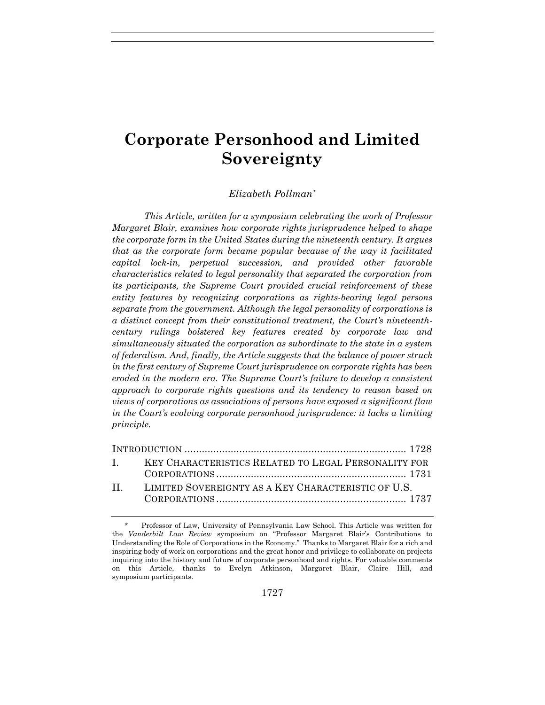# **Corporate Personhood and Limited Sovereignty**

### *Elizabeth Pollman\**

*This Article, written for a symposium celebrating the work of Professor Margaret Blair, examines how corporate rights jurisprudence helped to shape the corporate form in the United States during the nineteenth century. It argues that as the corporate form became popular because of the way it facilitated capital lock-in, perpetual succession, and provided other favorable characteristics related to legal personality that separated the corporation from its participants, the Supreme Court provided crucial reinforcement of these entity features by recognizing corporations as rights-bearing legal persons separate from the government. Although the legal personality of corporations is a distinct concept from their constitutional treatment, the Court's nineteenthcentury rulings bolstered key features created by corporate law and simultaneously situated the corporation as subordinate to the state in a system of federalism. And, finally, the Article suggests that the balance of power struck in the first century of Supreme Court jurisprudence on corporate rights has been eroded in the modern era. The Supreme Court's failure to develop a consistent approach to corporate rights questions and its tendency to reason based on views of corporations as associations of persons have exposed a significant flaw in the Court's evolving corporate personhood jurisprudence: it lacks a limiting principle.* 

| I. KEY CHARACTERISTICS RELATED TO LEGAL PERSONALITY FOR |  |
|---------------------------------------------------------|--|
|                                                         |  |
| II. LIMITED SOVEREIGNTY AS A KEY CHARACTERISTIC OF U.S. |  |
|                                                         |  |

 <sup>\*</sup> Professor of Law, University of Pennsylvania Law School. This Article was written for the *Vanderbilt Law Review* symposium on "Professor Margaret Blair's Contributions to Understanding the Role of Corporations in the Economy." Thanks to Margaret Blair for a rich and inspiring body of work on corporations and the great honor and privilege to collaborate on projects inquiring into the history and future of corporate personhood and rights. For valuable comments on this Article, thanks to Evelyn Atkinson, Margaret Blair, Claire Hill, and symposium participants.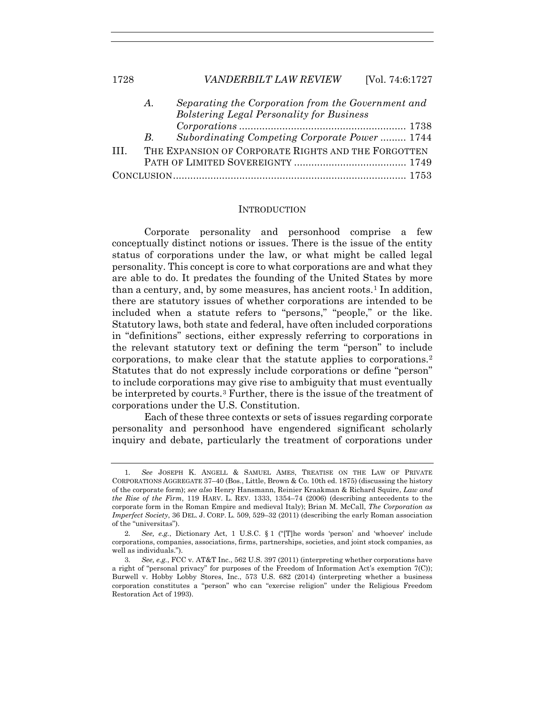|       | Separating the Corporation from the Government and<br>$A_{\cdot}$ |                                                     |  |
|-------|-------------------------------------------------------------------|-----------------------------------------------------|--|
|       |                                                                   | <b>Bolstering Legal Personality for Business</b>    |  |
|       |                                                                   |                                                     |  |
|       | $B_{\cdot}$                                                       | Subordinating Competing Corporate Power 1744        |  |
| TIT – |                                                                   | THE EXPANSION OF CORPORATE RIGHTS AND THE FORGOTTEN |  |
|       |                                                                   |                                                     |  |
|       |                                                                   |                                                     |  |

#### **INTRODUCTION**

Corporate personality and personhood comprise a few conceptually distinct notions or issues. There is the issue of the entity status of corporations under the law, or what might be called legal personality. This concept is core to what corporations are and what they are able to do. It predates the founding of the United States by more than a century, and, by some measures, has ancient roots.<sup>1</sup> In addition, there are statutory issues of whether corporations are intended to be included when a statute refers to "persons," "people," or the like. Statutory laws, both state and federal, have often included corporations in "definitions" sections, either expressly referring to corporations in the relevant statutory text or defining the term "person" to include corporations, to make clear that the statute applies to corporations.2 Statutes that do not expressly include corporations or define "person" to include corporations may give rise to ambiguity that must eventually be interpreted by courts.3 Further, there is the issue of the treatment of corporations under the U.S. Constitution.

Each of these three contexts or sets of issues regarding corporate personality and personhood have engendered significant scholarly inquiry and debate, particularly the treatment of corporations under

<sup>1</sup>*. See* JOSEPH K. ANGELL & SAMUEL AMES, TREATISE ON THE LAW OF PRIVATE CORPORATIONS AGGREGATE 37–40 (Bos., Little, Brown & Co. 10th ed. 1875) (discussing the history of the corporate form); *see also* Henry Hansmann, Reinier Kraakman & Richard Squire, *Law and the Rise of the Firm*, 119 HARV. L. REV. 1333, 1354–74 (2006) (describing antecedents to the corporate form in the Roman Empire and medieval Italy); Brian M. McCall, *The Corporation as Imperfect Society*, 36 DEL. J. CORP. L. 509, 529–32 (2011) (describing the early Roman association of the "universitas").

<sup>2</sup>*. See, e.g.*, Dictionary Act, 1 U.S.C. § 1 ("[T]he words 'person' and 'whoever' include corporations, companies, associations, firms, partnerships, societies, and joint stock companies, as well as individuals.").

<sup>3</sup>*. See, e.g.*, FCC v. AT&T Inc., 562 U.S. 397 (2011) (interpreting whether corporations have a right of "personal privacy" for purposes of the Freedom of Information Act's exemption 7(C)); Burwell v. Hobby Lobby Stores, Inc., 573 U.S. 682 (2014) (interpreting whether a business corporation constitutes a "person" who can "exercise religion" under the Religious Freedom Restoration Act of 1993).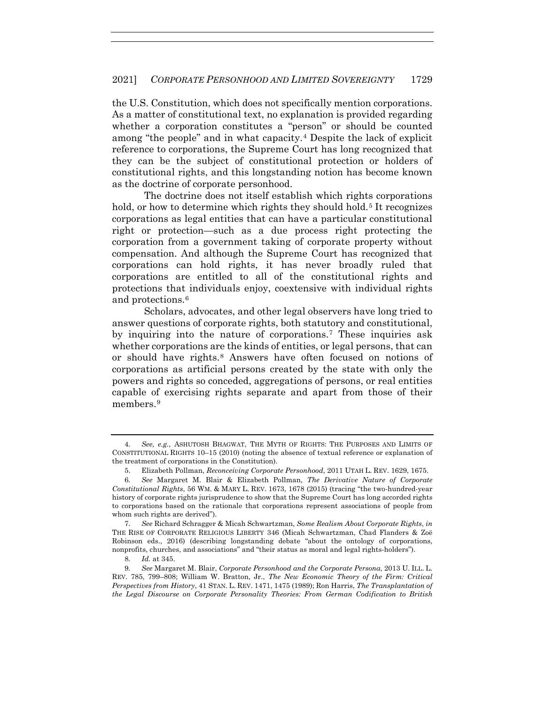the U.S. Constitution, which does not specifically mention corporations. As a matter of constitutional text, no explanation is provided regarding whether a corporation constitutes a "person" or should be counted among "the people" and in what capacity.4 Despite the lack of explicit reference to corporations, the Supreme Court has long recognized that they can be the subject of constitutional protection or holders of constitutional rights, and this longstanding notion has become known as the doctrine of corporate personhood.

The doctrine does not itself establish which rights corporations hold, or how to determine which rights they should hold.<sup>5</sup> It recognizes corporations as legal entities that can have a particular constitutional right or protection—such as a due process right protecting the corporation from a government taking of corporate property without compensation. And although the Supreme Court has recognized that corporations can hold rights, it has never broadly ruled that corporations are entitled to all of the constitutional rights and protections that individuals enjoy, coextensive with individual rights and protections.6

Scholars, advocates, and other legal observers have long tried to answer questions of corporate rights, both statutory and constitutional, by inquiring into the nature of corporations.7 These inquiries ask whether corporations are the kinds of entities, or legal persons, that can or should have rights.8 Answers have often focused on notions of corporations as artificial persons created by the state with only the powers and rights so conceded, aggregations of persons, or real entities capable of exercising rights separate and apart from those of their members.9

7*. See* Richard Schragger & Micah Schwartzman, *Some Realism About Corporate Rights*, *in* THE RISE OF CORPORATE RELIGIOUS LIBERTY 346 (Micah Schwartzman, Chad Flanders & Zoë Robinson eds., 2016) (describing longstanding debate "about the ontology of corporations, nonprofits, churches, and associations" and "their status as moral and legal rights-holders").

8*. Id.* at 345.

<sup>4</sup>*. See, e.g.*, ASHUTOSH BHAGWAT, THE MYTH OF RIGHTS: THE PURPOSES AND LIMITS OF CONSTITUTIONAL RIGHTS 10–15 (2010) (noting the absence of textual reference or explanation of the treatment of corporations in the Constitution).

 <sup>5.</sup> Elizabeth Pollman, *Reconceiving Corporate Personhood*, 2011 UTAH L. REV. 1629, 1675.

<sup>6</sup>*. See* Margaret M. Blair & Elizabeth Pollman, *The Derivative Nature of Corporate Constitutional Rights*, 56 WM. & MARY L. REV. 1673, 1678 (2015) (tracing "the two-hundred-year history of corporate rights jurisprudence to show that the Supreme Court has long accorded rights to corporations based on the rationale that corporations represent associations of people from whom such rights are derived").

<sup>9</sup>*. See* Margaret M. Blair, *Corporate Personhood and the Corporate Persona*, 2013 U. ILL. L. REV. 785, 799–808; William W. Bratton, Jr., *The New Economic Theory of the Firm: Critical Perspectives from History*, 41 STAN. L. REV. 1471, 1475 (1989); Ron Harris, *The Transplantation of the Legal Discourse on Corporate Personality Theories: From German Codification to British*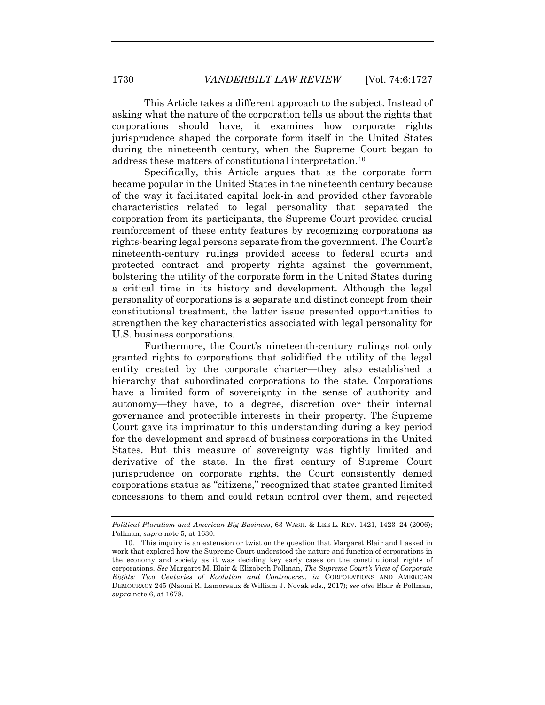This Article takes a different approach to the subject. Instead of asking what the nature of the corporation tells us about the rights that corporations should have, it examines how corporate rights jurisprudence shaped the corporate form itself in the United States during the nineteenth century, when the Supreme Court began to address these matters of constitutional interpretation.10

Specifically, this Article argues that as the corporate form became popular in the United States in the nineteenth century because of the way it facilitated capital lock-in and provided other favorable characteristics related to legal personality that separated the corporation from its participants, the Supreme Court provided crucial reinforcement of these entity features by recognizing corporations as rights-bearing legal persons separate from the government. The Court's nineteenth-century rulings provided access to federal courts and protected contract and property rights against the government, bolstering the utility of the corporate form in the United States during a critical time in its history and development. Although the legal personality of corporations is a separate and distinct concept from their constitutional treatment, the latter issue presented opportunities to strengthen the key characteristics associated with legal personality for U.S. business corporations.

Furthermore, the Court's nineteenth-century rulings not only granted rights to corporations that solidified the utility of the legal entity created by the corporate charter—they also established a hierarchy that subordinated corporations to the state. Corporations have a limited form of sovereignty in the sense of authority and autonomy—they have, to a degree, discretion over their internal governance and protectible interests in their property. The Supreme Court gave its imprimatur to this understanding during a key period for the development and spread of business corporations in the United States. But this measure of sovereignty was tightly limited and derivative of the state. In the first century of Supreme Court jurisprudence on corporate rights, the Court consistently denied corporations status as "citizens," recognized that states granted limited concessions to them and could retain control over them, and rejected

*Political Pluralism and American Big Business*, 63 WASH. & LEE L. REV. 1421, 1423–24 (2006); Pollman, *supra* note 5, at 1630.

 <sup>10.</sup> This inquiry is an extension or twist on the question that Margaret Blair and I asked in work that explored how the Supreme Court understood the nature and function of corporations in the economy and society as it was deciding key early cases on the constitutional rights of corporations. *See* Margaret M. Blair & Elizabeth Pollman, *The Supreme Court's View of Corporate Rights: Two Centuries of Evolution and Controversy*, *in* CORPORATIONS AND AMERICAN DEMOCRACY 245 (Naomi R. Lamoreaux & William J. Novak eds., 2017); *see also* Blair & Pollman, *supra* note 6, at 1678.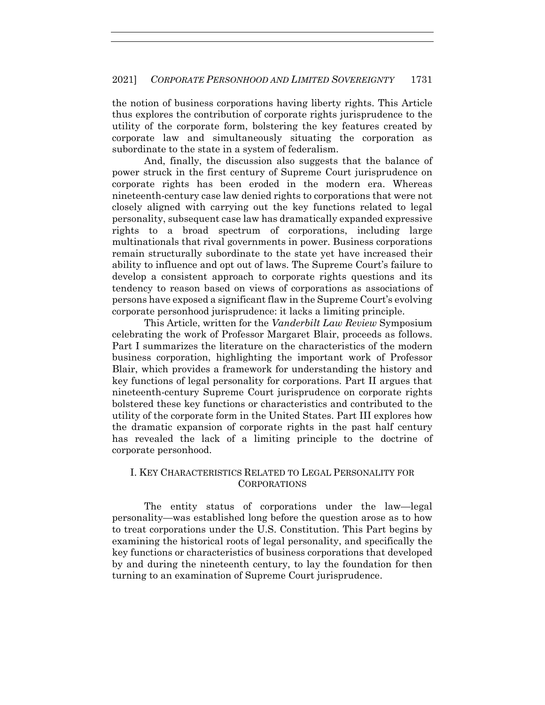the notion of business corporations having liberty rights. This Article thus explores the contribution of corporate rights jurisprudence to the utility of the corporate form, bolstering the key features created by corporate law and simultaneously situating the corporation as subordinate to the state in a system of federalism.

And, finally, the discussion also suggests that the balance of power struck in the first century of Supreme Court jurisprudence on corporate rights has been eroded in the modern era. Whereas nineteenth-century case law denied rights to corporations that were not closely aligned with carrying out the key functions related to legal personality, subsequent case law has dramatically expanded expressive rights to a broad spectrum of corporations, including large multinationals that rival governments in power. Business corporations remain structurally subordinate to the state yet have increased their ability to influence and opt out of laws. The Supreme Court's failure to develop a consistent approach to corporate rights questions and its tendency to reason based on views of corporations as associations of persons have exposed a significant flaw in the Supreme Court's evolving corporate personhood jurisprudence: it lacks a limiting principle.

This Article, written for the *Vanderbilt Law Review* Symposium celebrating the work of Professor Margaret Blair, proceeds as follows. Part I summarizes the literature on the characteristics of the modern business corporation, highlighting the important work of Professor Blair, which provides a framework for understanding the history and key functions of legal personality for corporations. Part II argues that nineteenth-century Supreme Court jurisprudence on corporate rights bolstered these key functions or characteristics and contributed to the utility of the corporate form in the United States. Part III explores how the dramatic expansion of corporate rights in the past half century has revealed the lack of a limiting principle to the doctrine of corporate personhood.

## I. KEY CHARACTERISTICS RELATED TO LEGAL PERSONALITY FOR CORPORATIONS

The entity status of corporations under the law—legal personality—was established long before the question arose as to how to treat corporations under the U.S. Constitution. This Part begins by examining the historical roots of legal personality, and specifically the key functions or characteristics of business corporations that developed by and during the nineteenth century, to lay the foundation for then turning to an examination of Supreme Court jurisprudence.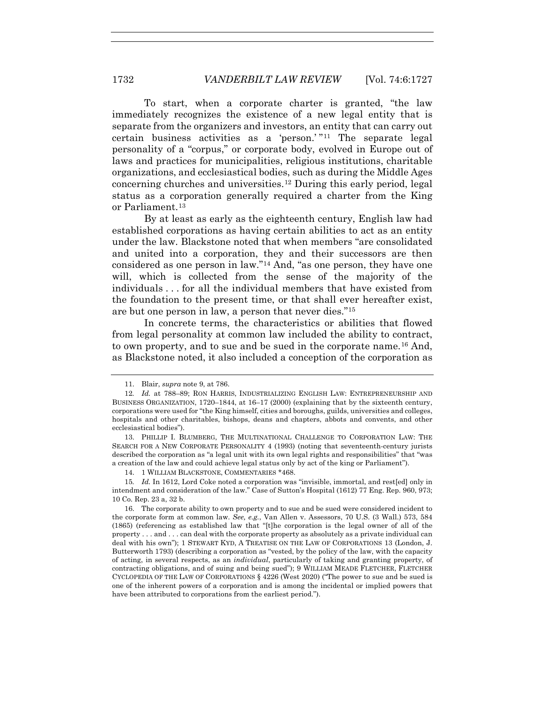To start, when a corporate charter is granted, "the law immediately recognizes the existence of a new legal entity that is separate from the organizers and investors, an entity that can carry out certain business activities as a 'person.' "11 The separate legal personality of a "corpus," or corporate body, evolved in Europe out of laws and practices for municipalities, religious institutions, charitable organizations, and ecclesiastical bodies, such as during the Middle Ages concerning churches and universities.12 During this early period, legal status as a corporation generally required a charter from the King or Parliament.13

By at least as early as the eighteenth century, English law had established corporations as having certain abilities to act as an entity under the law. Blackstone noted that when members "are consolidated and united into a corporation, they and their successors are then considered as one person in law."14 And, "as one person, they have one will, which is collected from the sense of the majority of the individuals . . . for all the individual members that have existed from the foundation to the present time, or that shall ever hereafter exist, are but one person in law, a person that never dies."15

In concrete terms, the characteristics or abilities that flowed from legal personality at common law included the ability to contract, to own property, and to sue and be sued in the corporate name.16 And, as Blackstone noted, it also included a conception of the corporation as

 <sup>11.</sup> Blair, *supra* note 9, at 786.

<sup>12</sup>*. Id.* at 788–89; RON HARRIS, INDUSTRIALIZING ENGLISH LAW: ENTREPRENEURSHIP AND BUSINESS ORGANIZATION, 1720–1844, at 16–17 (2000) (explaining that by the sixteenth century, corporations were used for "the King himself, cities and boroughs, guilds, universities and colleges, hospitals and other charitables, bishops, deans and chapters, abbots and convents, and other ecclesiastical bodies").

 <sup>13.</sup> PHILLIP I. BLUMBERG, THE MULTINATIONAL CHALLENGE TO CORPORATION LAW: THE SEARCH FOR A NEW CORPORATE PERSONALITY 4 (1993) (noting that seventeenth-century jurists described the corporation as "a legal unit with its own legal rights and responsibilities" that "was a creation of the law and could achieve legal status only by act of the king or Parliament").

 <sup>14. 1</sup> WILLIAM BLACKSTONE, COMMENTARIES \*468.

<sup>15</sup>*. Id.* In 1612, Lord Coke noted a corporation was "invisible, immortal, and rest[ed] only in intendment and consideration of the law." Case of Sutton's Hospital (1612) 77 Eng. Rep. 960, 973; 10 Co. Rep. 23 a, 32 b.

 <sup>16.</sup> The corporate ability to own property and to sue and be sued were considered incident to the corporate form at common law. *See, e.g.*, Van Allen v. Assessors, 70 U.S. (3 Wall.) 573, 584 (1865) (referencing as established law that "[t]he corporation is the legal owner of all of the property . . . and . . . can deal with the corporate property as absolutely as a private individual can deal with his own"); 1 STEWART KYD, A TREATISE ON THE LAW OF CORPORATIONS 13 (London, J. Butterworth 1793) (describing a corporation as "vested, by the policy of the law, with the capacity of acting, in several respects, as an *individual*, particularly of taking and granting property, of contracting obligations, and of suing and being sued"); 9 WILLIAM MEADE FLETCHER, FLETCHER CYCLOPEDIA OF THE LAW OF CORPORATIONS § 4226 (West 2020) ("The power to sue and be sued is one of the inherent powers of a corporation and is among the incidental or implied powers that have been attributed to corporations from the earliest period.").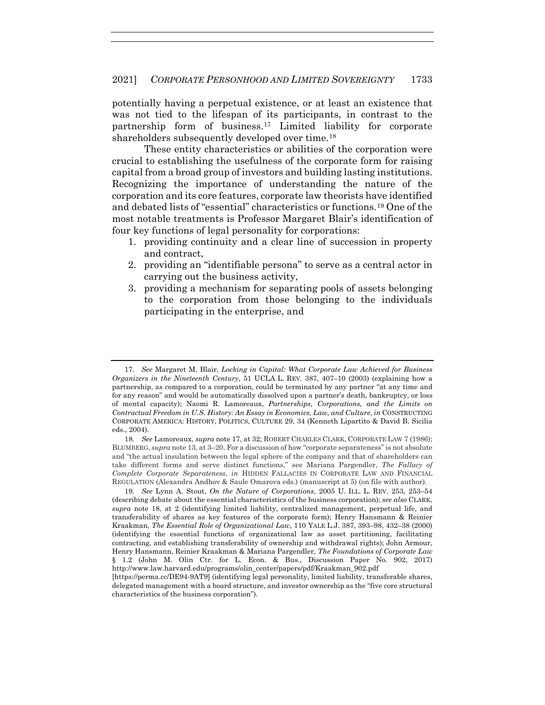potentially having a perpetual existence, or at least an existence that was not tied to the lifespan of its participants, in contrast to the partnership form of business.17 Limited liability for corporate shareholders subsequently developed over time.18

These entity characteristics or abilities of the corporation were crucial to establishing the usefulness of the corporate form for raising capital from a broad group of investors and building lasting institutions. Recognizing the importance of understanding the nature of the corporation and its core features, corporate law theorists have identified and debated lists of "essential" characteristics or functions.19 One of the most notable treatments is Professor Margaret Blair's identification of four key functions of legal personality for corporations:

- 1. providing continuity and a clear line of succession in property and contract,
- 2. providing an "identifiable persona" to serve as a central actor in carrying out the business activity,
- 3. providing a mechanism for separating pools of assets belonging to the corporation from those belonging to the individuals participating in the enterprise, and

<sup>17</sup>*. See* Margaret M. Blair, *Locking in Capital: What Corporate Law Achieved for Business Organizers in the Nineteenth Century*, 51 UCLA L. REV. 387, 407–10 (2003) (explaining how a partnership, as compared to a corporation, could be terminated by any partner "at any time and for any reason" and would be automatically dissolved upon a partner's death, bankruptcy, or loss of mental capacity); Naomi R. Lamoreaux, *Partnerships, Corporations, and the Limits on Contractual Freedom in U.S. History: An Essay in Economics, Law, and Culture*, *in* CONSTRUCTING CORPORATE AMERICA: HISTORY, POLITICS, CULTURE 29, 34 (Kenneth Lipartito & David B. Sicilia eds., 2004).

<sup>18</sup>*. See* Lamoreaux, *supra* note 17, at 32; ROBERT CHARLES CLARK, CORPORATE LAW 7 (1986); BLUMBERG, *supra* note 13, at 3–20. For a discussion of how "corporate separateness" is not absolute and "the actual insulation between the legal sphere of the company and that of shareholders can take different forms and serve distinct functions," see Mariana Pargendler, *The Fallacy of Complete Corporate Separateness*, *in* HIDDEN FALLACIES IN CORPORATE LAW AND FINANCIAL REGULATION (Alexandra Andhov & Saule Omarova eds.) (manuscript at 5) (on file with author).

<sup>19</sup>*. See* Lynn A. Stout, *On the Nature of Corporations*, 2005 U. ILL. L. REV. 253, 253–54 (describing debate about the essential characteristics of the business corporation); *see also* CLARK, *supra* note 18, at 2 (identifying limited liability, centralized management, perpetual life, and transferability of shares as key features of the corporate form); Henry Hansmann & Reinier Kraakman, *The Essential Role of Organizational Law*, 110 YALE L.J. 387, 393–98, 432–38 (2000) (identifying the essential functions of organizational law as asset partitioning, facilitating contracting, and establishing transferability of ownership and withdrawal rights); John Armour, Henry Hansmann, Reinier Kraakman & Mariana Pargendler, *The Foundations of Corporate Law* § 1.2 (John M. Olin Ctr. for L. Econ. & Bus., Discussion Paper No. 902, 2017) http://www.law.harvard.edu/programs/olin\_center/papers/pdf/Kraakman\_902.pdf

<sup>[</sup>https://perma.cc/DE94-9AT9] (identifying legal personality, limited liability, transferable shares, delegated management with a board structure, and investor ownership as the "five core structural characteristics of the business corporation").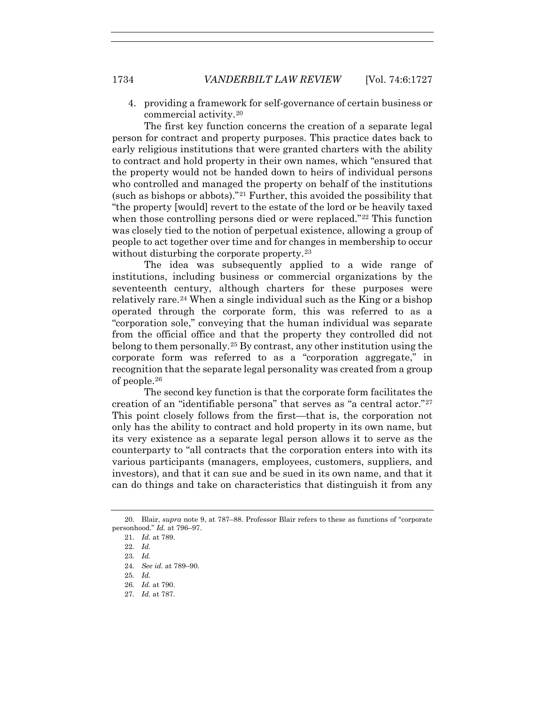4. providing a framework for self-governance of certain business or commercial activity.20

The first key function concerns the creation of a separate legal person for contract and property purposes. This practice dates back to early religious institutions that were granted charters with the ability to contract and hold property in their own names, which "ensured that the property would not be handed down to heirs of individual persons who controlled and managed the property on behalf of the institutions (such as bishops or abbots)."21 Further, this avoided the possibility that "the property [would] revert to the estate of the lord or be heavily taxed when those controlling persons died or were replaced."<sup>22</sup> This function was closely tied to the notion of perpetual existence, allowing a group of people to act together over time and for changes in membership to occur without disturbing the corporate property.<sup>23</sup>

The idea was subsequently applied to a wide range of institutions, including business or commercial organizations by the seventeenth century, although charters for these purposes were relatively rare.24 When a single individual such as the King or a bishop operated through the corporate form, this was referred to as a "corporation sole," conveying that the human individual was separate from the official office and that the property they controlled did not belong to them personally.<sup>25</sup> By contrast, any other institution using the corporate form was referred to as a "corporation aggregate," in recognition that the separate legal personality was created from a group of people.26

The second key function is that the corporate form facilitates the creation of an "identifiable persona" that serves as "a central actor."27 This point closely follows from the first—that is, the corporation not only has the ability to contract and hold property in its own name, but its very existence as a separate legal person allows it to serve as the counterparty to "all contracts that the corporation enters into with its various participants (managers, employees, customers, suppliers, and investors), and that it can sue and be sued in its own name, and that it can do things and take on characteristics that distinguish it from any

- 24*. See id.* at 789–90.
- 25*. Id.*
- 26*. Id.* at 790.
- 27*. Id.* at 787.

 <sup>20.</sup> Blair, *supra* note 9, at 787–88. Professor Blair refers to these as functions of "corporate personhood." *Id.* at 796–97.

<sup>21</sup>*. Id.* at 789.

<sup>22</sup>*. Id.*

<sup>23</sup>*. Id.*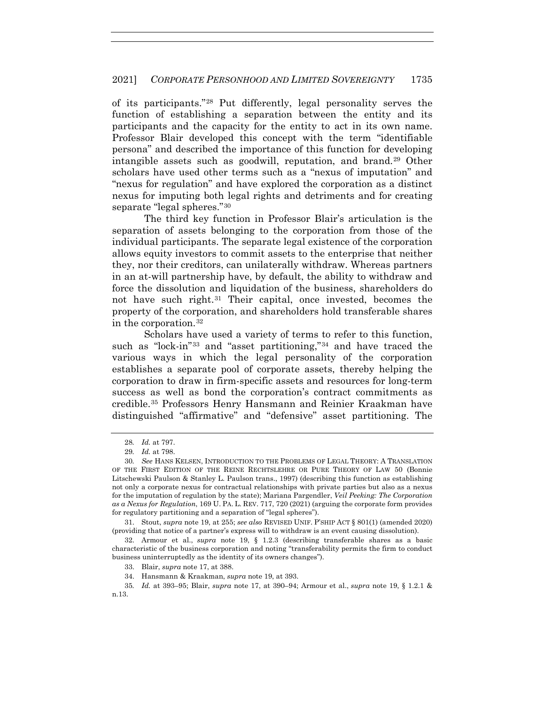of its participants."28 Put differently, legal personality serves the function of establishing a separation between the entity and its participants and the capacity for the entity to act in its own name. Professor Blair developed this concept with the term "identifiable persona" and described the importance of this function for developing intangible assets such as goodwill, reputation, and brand.29 Other scholars have used other terms such as a "nexus of imputation" and "nexus for regulation" and have explored the corporation as a distinct nexus for imputing both legal rights and detriments and for creating separate "legal spheres."30

The third key function in Professor Blair's articulation is the separation of assets belonging to the corporation from those of the individual participants. The separate legal existence of the corporation allows equity investors to commit assets to the enterprise that neither they, nor their creditors, can unilaterally withdraw. Whereas partners in an at-will partnership have, by default, the ability to withdraw and force the dissolution and liquidation of the business, shareholders do not have such right.31 Their capital, once invested, becomes the property of the corporation, and shareholders hold transferable shares in the corporation.32

Scholars have used a variety of terms to refer to this function, such as "lock-in"33 and "asset partitioning,"34 and have traced the various ways in which the legal personality of the corporation establishes a separate pool of corporate assets, thereby helping the corporation to draw in firm-specific assets and resources for long-term success as well as bond the corporation's contract commitments as credible.35 Professors Henry Hansmann and Reinier Kraakman have distinguished "affirmative" and "defensive" asset partitioning. The

 31. Stout, *supra* note 19, at 255; *see also* REVISED UNIF. P'SHIP ACT § 801(1) (amended 2020) (providing that notice of a partner's express will to withdraw is an event causing dissolution).

 32. Armour et al., *supra* note 19, § 1.2.3 (describing transferable shares as a basic characteristic of the business corporation and noting "transferability permits the firm to conduct business uninterruptedly as the identity of its owners changes").

<sup>28</sup>*. Id.* at 797.

<sup>29</sup>*. Id.* at 798.

<sup>30</sup>*. See* HANS KELSEN, INTRODUCTION TO THE PROBLEMS OF LEGAL THEORY: A TRANSLATION OF THE FIRST EDITION OF THE REINE RECHTSLEHRE OR PURE THEORY OF LAW 50 (Bonnie Litschewski Paulson & Stanley L. Paulson trans., 1997) (describing this function as establishing not only a corporate nexus for contractual relationships with private parties but also as a nexus for the imputation of regulation by the state); Mariana Pargendler, *Veil Peeking: The Corporation as a Nexus for Regulation*, 169 U. PA. L. REV. 717, 720 (2021) (arguing the corporate form provides for regulatory partitioning and a separation of "legal spheres").

 <sup>33.</sup> Blair, *supra* note 17, at 388.

 <sup>34.</sup> Hansmann & Kraakman, *supra* note 19, at 393.

<sup>35</sup>*. Id.* at 393–95; Blair, *supra* note 17, at 390–94; Armour et al., *supra* note 19, § 1.2.1 & n.13.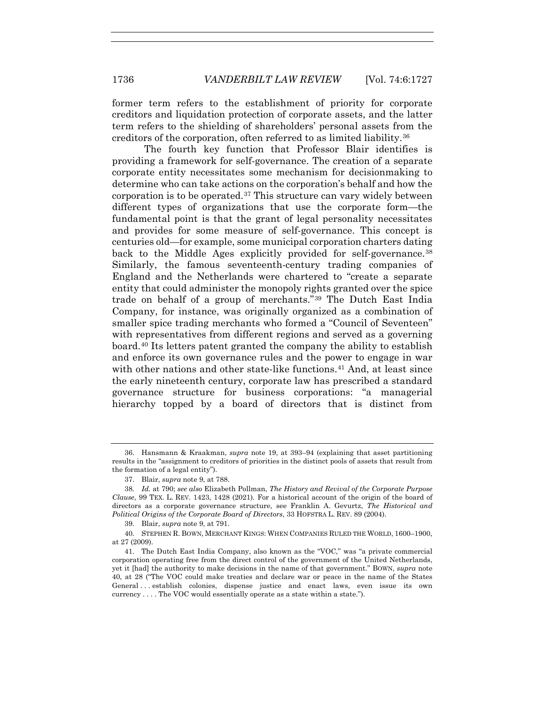former term refers to the establishment of priority for corporate creditors and liquidation protection of corporate assets, and the latter term refers to the shielding of shareholders' personal assets from the creditors of the corporation, often referred to as limited liability.36

The fourth key function that Professor Blair identifies is providing a framework for self-governance. The creation of a separate corporate entity necessitates some mechanism for decisionmaking to determine who can take actions on the corporation's behalf and how the corporation is to be operated.37 This structure can vary widely between different types of organizations that use the corporate form—the fundamental point is that the grant of legal personality necessitates and provides for some measure of self-governance. This concept is centuries old—for example, some municipal corporation charters dating back to the Middle Ages explicitly provided for self-governance.<sup>38</sup> Similarly, the famous seventeenth-century trading companies of England and the Netherlands were chartered to "create a separate entity that could administer the monopoly rights granted over the spice trade on behalf of a group of merchants."39 The Dutch East India Company, for instance, was originally organized as a combination of smaller spice trading merchants who formed a "Council of Seventeen" with representatives from different regions and served as a governing board.40 Its letters patent granted the company the ability to establish and enforce its own governance rules and the power to engage in war with other nations and other state-like functions.<sup>41</sup> And, at least since the early nineteenth century, corporate law has prescribed a standard governance structure for business corporations: "a managerial hierarchy topped by a board of directors that is distinct from

 <sup>36.</sup> Hansmann & Kraakman, *supra* note 19, at 393–94 (explaining that asset partitioning results in the "assignment to creditors of priorities in the distinct pools of assets that result from the formation of a legal entity").

 <sup>37.</sup> Blair, *supra* note 9, at 788.

<sup>38</sup>*. Id.* at 790; *see also* Elizabeth Pollman, *The History and Revival of the Corporate Purpose Clause*, 99 TEX. L. REV. 1423, 1428 (2021). For a historical account of the origin of the board of directors as a corporate governance structure, see Franklin A. Gevurtz, *The Historical and Political Origins of the Corporate Board of Directors*, 33 HOFSTRA L. REV. 89 (2004).

 <sup>39.</sup> Blair, *supra* note 9, at 791.

 <sup>40.</sup> STEPHEN R. BOWN, MERCHANT KINGS: WHEN COMPANIES RULED THE WORLD, 1600–1900, at 27 (2009).

 <sup>41.</sup> The Dutch East India Company, also known as the "VOC," was "a private commercial corporation operating free from the direct control of the government of the United Netherlands, yet it [had] the authority to make decisions in the name of that government." BOWN, *supra* note 40, at 28 ("The VOC could make treaties and declare war or peace in the name of the States General . . . establish colonies, dispense justice and enact laws, even issue its own currency . . . . The VOC would essentially operate as a state within a state.").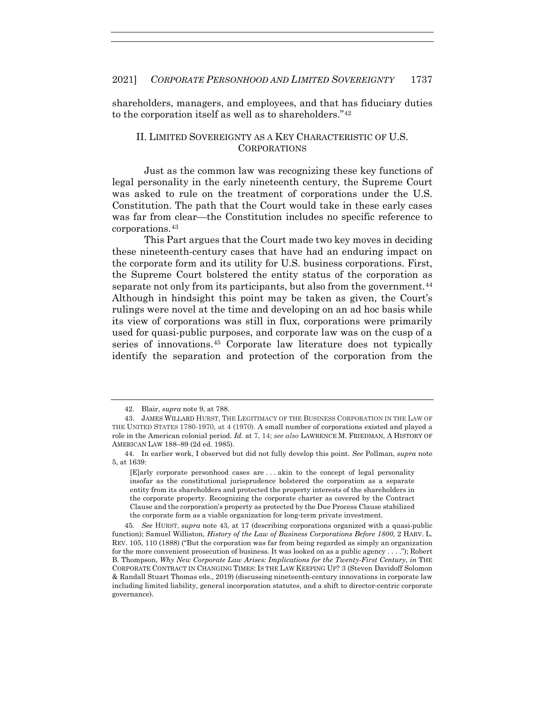shareholders, managers, and employees, and that has fiduciary duties to the corporation itself as well as to shareholders."42

#### II. LIMITED SOVEREIGNTY AS A KEY CHARACTERISTIC OF U.S. CORPORATIONS

Just as the common law was recognizing these key functions of legal personality in the early nineteenth century, the Supreme Court was asked to rule on the treatment of corporations under the U.S. Constitution. The path that the Court would take in these early cases was far from clear—the Constitution includes no specific reference to corporations.43

This Part argues that the Court made two key moves in deciding these nineteenth-century cases that have had an enduring impact on the corporate form and its utility for U.S. business corporations. First, the Supreme Court bolstered the entity status of the corporation as separate not only from its participants, but also from the government.<sup>44</sup> Although in hindsight this point may be taken as given, the Court's rulings were novel at the time and developing on an ad hoc basis while its view of corporations was still in flux, corporations were primarily used for quasi-public purposes, and corporate law was on the cusp of a series of innovations.45 Corporate law literature does not typically identify the separation and protection of the corporation from the

 <sup>42.</sup> Blair, *supra* note 9, at 788.

 <sup>43.</sup> JAMES WILLARD HURST, THE LEGITIMACY OF THE BUSINESS CORPORATION IN THE LAW OF THE UNITED STATES 1780-1970, at 4 (1970). A small number of corporations existed and played a role in the American colonial period. *Id.* at 7, 14; *see also* LAWRENCE M. FRIEDMAN, A HISTORY OF AMERICAN LAW 188–89 (2d ed. 1985).

 <sup>44.</sup> In earlier work, I observed but did not fully develop this point. *See* Pollman, *supra* note 5, at 1639:

<sup>[</sup>E]arly corporate personhood cases are . . . akin to the concept of legal personality insofar as the constitutional jurisprudence bolstered the corporation as a separate entity from its shareholders and protected the property interests of the shareholders in the corporate property. Recognizing the corporate charter as covered by the Contract Clause and the corporation's property as protected by the Due Process Clause stabilized the corporate form as a viable organization for long-term private investment.

<sup>45</sup>*. See* HURST, *supra* note 43, at 17 (describing corporations organized with a quasi-public function); Samuel Williston, *History of the Law of Business Corporations Before 1800*, 2 HARV. L. REV. 105, 110 (1888) ("But the corporation was far from being regarded as simply an organization for the more convenient prosecution of business. It was looked on as a public agency . . . ."); Robert B. Thompson, *Why New Corporate Law Arises: Implications for the Twenty-First Century*, *in* THE CORPORATE CONTRACT IN CHANGING TIMES: IS THE LAW KEEPING UP? 3 (Steven Davidoff Solomon & Randall Stuart Thomas eds., 2019) (discussing nineteenth-century innovations in corporate law including limited liability, general incorporation statutes, and a shift to director-centric corporate governance).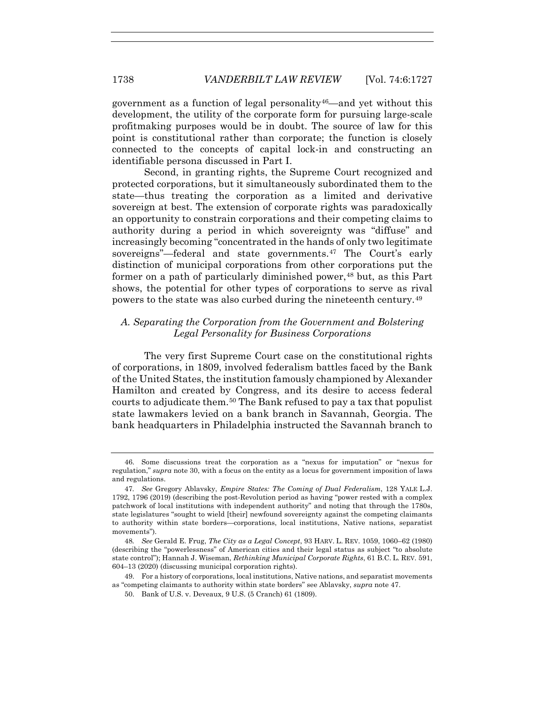government as a function of legal personality<sup>46</sup>—and yet without this development, the utility of the corporate form for pursuing large-scale profitmaking purposes would be in doubt. The source of law for this point is constitutional rather than corporate; the function is closely connected to the concepts of capital lock-in and constructing an identifiable persona discussed in Part I.

Second, in granting rights, the Supreme Court recognized and protected corporations, but it simultaneously subordinated them to the state—thus treating the corporation as a limited and derivative sovereign at best. The extension of corporate rights was paradoxically an opportunity to constrain corporations and their competing claims to authority during a period in which sovereignty was "diffuse" and increasingly becoming "concentrated in the hands of only two legitimate sovereigns"—federal and state governments.<sup>47</sup> The Court's early distinction of municipal corporations from other corporations put the former on a path of particularly diminished power,<sup>48</sup> but, as this Part shows, the potential for other types of corporations to serve as rival powers to the state was also curbed during the nineteenth century.49

### *A. Separating the Corporation from the Government and Bolstering Legal Personality for Business Corporations*

The very first Supreme Court case on the constitutional rights of corporations, in 1809, involved federalism battles faced by the Bank of the United States, the institution famously championed by Alexander Hamilton and created by Congress, and its desire to access federal courts to adjudicate them.50 The Bank refused to pay a tax that populist state lawmakers levied on a bank branch in Savannah, Georgia. The bank headquarters in Philadelphia instructed the Savannah branch to

 <sup>46.</sup> Some discussions treat the corporation as a "nexus for imputation" or "nexus for regulation," *supra* note 30, with a focus on the entity as a locus for government imposition of laws and regulations.

<sup>47</sup>*. See* Gregory Ablavsky, *Empire States: The Coming of Dual Federalism*, 128 YALE L.J. 1792, 1796 (2019) (describing the post-Revolution period as having "power rested with a complex patchwork of local institutions with independent authority" and noting that through the 1780s, state legislatures "sought to wield [their] newfound sovereignty against the competing claimants to authority within state borders—corporations, local institutions, Native nations, separatist movements").

<sup>48</sup>*. See* Gerald E. Frug, *The City as a Legal Concept*, 93 HARV. L. REV. 1059, 1060–62 (1980) (describing the "powerlessness" of American cities and their legal status as subject "to absolute state control"); Hannah J. Wiseman, *Rethinking Municipal Corporate Rights*, 61 B.C. L. REV. 591, 604–13 (2020) (discussing municipal corporation rights).

 <sup>49.</sup> For a history of corporations, local institutions, Native nations, and separatist movements as "competing claimants to authority within state borders" see Ablavsky, *supra* note 47.

 <sup>50.</sup> Bank of U.S. v. Deveaux, 9 U.S. (5 Cranch) 61 (1809).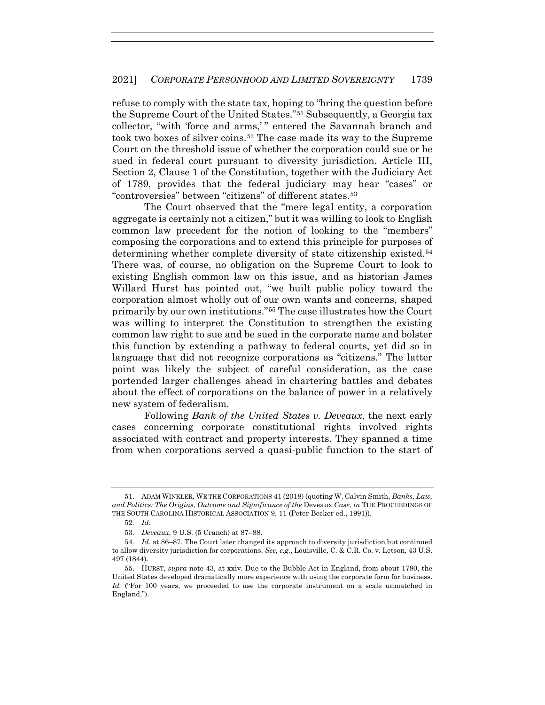refuse to comply with the state tax, hoping to "bring the question before the Supreme Court of the United States."51 Subsequently, a Georgia tax collector, "with 'force and arms,'" entered the Savannah branch and took two boxes of silver coins.<sup>52</sup> The case made its way to the Supreme Court on the threshold issue of whether the corporation could sue or be sued in federal court pursuant to diversity jurisdiction. Article III, Section 2, Clause 1 of the Constitution, together with the Judiciary Act of 1789, provides that the federal judiciary may hear "cases" or "controversies" between "citizens" of different states.53

The Court observed that the "mere legal entity, a corporation aggregate is certainly not a citizen," but it was willing to look to English common law precedent for the notion of looking to the "members" composing the corporations and to extend this principle for purposes of determining whether complete diversity of state citizenship existed.<sup>54</sup> There was, of course, no obligation on the Supreme Court to look to existing English common law on this issue, and as historian James Willard Hurst has pointed out, "we built public policy toward the corporation almost wholly out of our own wants and concerns, shaped primarily by our own institutions."55 The case illustrates how the Court was willing to interpret the Constitution to strengthen the existing common law right to sue and be sued in the corporate name and bolster this function by extending a pathway to federal courts, yet did so in language that did not recognize corporations as "citizens." The latter point was likely the subject of careful consideration, as the case portended larger challenges ahead in chartering battles and debates about the effect of corporations on the balance of power in a relatively new system of federalism.

Following *Bank of the United States v. Deveaux*, the next early cases concerning corporate constitutional rights involved rights associated with contract and property interests. They spanned a time from when corporations served a quasi-public function to the start of

 <sup>51.</sup> ADAM WINKLER, WE THE CORPORATIONS 41 (2018) (quoting W. Calvin Smith, *Banks, Law, and Politics: The Origins, Outcome and Significance of the* Deveaux *Case*, *in* THE PROCEEDINGS OF THE SOUTH CAROLINA HISTORICAL ASSOCIATION 9, 11 (Peter Becker ed., 1991)).

<sup>52</sup>*. Id.*

<sup>53</sup>*. Deveaux*, 9 U.S. (5 Cranch) at 87–88.

<sup>54</sup>*. Id.* at 86–87. The Court later changed its approach to diversity jurisdiction but continued to allow diversity jurisdiction for corporations. *See, e.g.*, Louisville, C. & C.R. Co. v. Letson, 43 U.S. 497 (1844).

 <sup>55.</sup> HURST, *supra* note 43, at xxiv. Due to the Bubble Act in England, from about 1780, the United States developed dramatically more experience with using the corporate form for business. Id. ("For 100 years, we proceeded to use the corporate instrument on a scale unmatched in England.").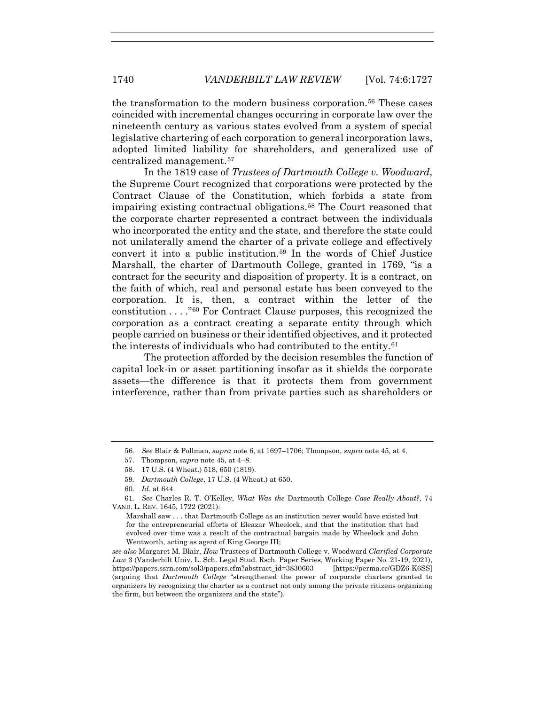the transformation to the modern business corporation.56 These cases coincided with incremental changes occurring in corporate law over the nineteenth century as various states evolved from a system of special legislative chartering of each corporation to general incorporation laws, adopted limited liability for shareholders, and generalized use of centralized management.57

In the 1819 case of *Trustees of Dartmouth College v. Woodward*, the Supreme Court recognized that corporations were protected by the Contract Clause of the Constitution, which forbids a state from impairing existing contractual obligations.58 The Court reasoned that the corporate charter represented a contract between the individuals who incorporated the entity and the state, and therefore the state could not unilaterally amend the charter of a private college and effectively convert it into a public institution.59 In the words of Chief Justice Marshall, the charter of Dartmouth College, granted in 1769, "is a contract for the security and disposition of property. It is a contract, on the faith of which, real and personal estate has been conveyed to the corporation. It is, then, a contract within the letter of the constitution . . . ."60 For Contract Clause purposes, this recognized the corporation as a contract creating a separate entity through which people carried on business or their identified objectives, and it protected the interests of individuals who had contributed to the entity.61

The protection afforded by the decision resembles the function of capital lock-in or asset partitioning insofar as it shields the corporate assets—the difference is that it protects them from government interference, rather than from private parties such as shareholders or

Marshall saw . . . that Dartmouth College as an institution never would have existed but for the entrepreneurial efforts of Eleazar Wheelock, and that the institution that had evolved over time was a result of the contractual bargain made by Wheelock and John Wentworth, acting as agent of King George III;

*see also* Margaret M. Blair, *How* Trustees of Dartmouth College v. Woodward *Clarified Corporate Law* 3 (Vanderbilt Univ. L. Sch. Legal Stud. Rsch. Paper Series, Working Paper No. 21-19, 2021), https://papers.ssrn.com/sol3/papers.cfm?abstract\_id=3830603 [https://perma.cc/GDZ6-K6SS] (arguing that *Dartmouth College* "strengthened the power of corporate charters granted to organizers by recognizing the charter as a contract not only among the private citizens organizing the firm, but between the organizers and the state").

<sup>56</sup>*. See* Blair & Pollman, *supra* note 6, at 1697–1706; Thompson, *supra* note 45, at 4.

 <sup>57.</sup> Thompson, *supra* note 45, at 4–8.

 <sup>58. 17</sup> U.S. (4 Wheat.) 518, 650 (1819).

<sup>59</sup>*. Dartmouth College*, 17 U.S. (4 Wheat.) at 650.

<sup>60</sup>*. Id.* at 644.

<sup>61</sup>*. See* Charles R. T. O'Kelley, *What Was the* Dartmouth College *Case Really About?*, 74 VAND. L. REV. 1645, 1722 (2021):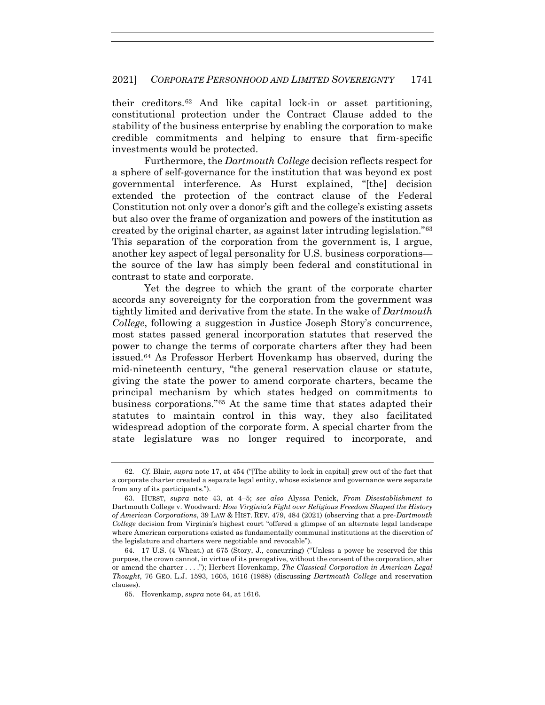their creditors.62 And like capital lock-in or asset partitioning, constitutional protection under the Contract Clause added to the stability of the business enterprise by enabling the corporation to make credible commitments and helping to ensure that firm-specific investments would be protected.

Furthermore, the *Dartmouth College* decision reflects respect for a sphere of self-governance for the institution that was beyond ex post governmental interference. As Hurst explained, "[the] decision extended the protection of the contract clause of the Federal Constitution not only over a donor's gift and the college's existing assets but also over the frame of organization and powers of the institution as created by the original charter, as against later intruding legislation."63 This separation of the corporation from the government is, I argue, another key aspect of legal personality for U.S. business corporations the source of the law has simply been federal and constitutional in contrast to state and corporate.

Yet the degree to which the grant of the corporate charter accords any sovereignty for the corporation from the government was tightly limited and derivative from the state. In the wake of *Dartmouth College*, following a suggestion in Justice Joseph Story's concurrence, most states passed general incorporation statutes that reserved the power to change the terms of corporate charters after they had been issued.64 As Professor Herbert Hovenkamp has observed, during the mid-nineteenth century, "the general reservation clause or statute, giving the state the power to amend corporate charters, became the principal mechanism by which states hedged on commitments to business corporations."65 At the same time that states adapted their statutes to maintain control in this way, they also facilitated widespread adoption of the corporate form. A special charter from the state legislature was no longer required to incorporate, and

<sup>62</sup>*. Cf.* Blair, *supra* note 17, at 454 ("[The ability to lock in capital] grew out of the fact that a corporate charter created a separate legal entity, whose existence and governance were separate from any of its participants.").

 <sup>63.</sup> HURST, *supra* note 43, at 4–5; *see also* Alyssa Penick, *From Disestablishment to*  Dartmouth College v. Woodward*: How Virginia's Fight over Religious Freedom Shaped the History of American Corporations*, 39 LAW & HIST. REV. 479, 484 (2021) (observing that a pre-*Dartmouth College* decision from Virginia's highest court "offered a glimpse of an alternate legal landscape where American corporations existed as fundamentally communal institutions at the discretion of the legislature and charters were negotiable and revocable").

 <sup>64. 17</sup> U.S. (4 Wheat.) at 675 (Story, J., concurring) ("Unless a power be reserved for this purpose, the crown cannot, in virtue of its prerogative, without the consent of the corporation, alter or amend the charter . . . ."); Herbert Hovenkamp, *The Classical Corporation in American Legal Thought*, 76 GEO. L.J. 1593, 1605, 1616 (1988) (discussing *Dartmouth College* and reservation clauses).

 <sup>65.</sup> Hovenkamp, *supra* note 64, at 1616.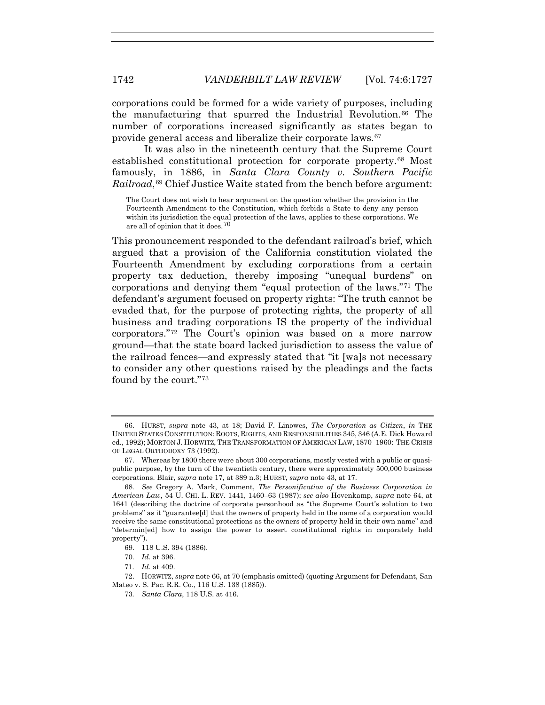corporations could be formed for a wide variety of purposes, including the manufacturing that spurred the Industrial Revolution.66 The number of corporations increased significantly as states began to provide general access and liberalize their corporate laws.67

It was also in the nineteenth century that the Supreme Court established constitutional protection for corporate property.68 Most famously, in 1886, in *Santa Clara County v. Southern Pacific Railroad*,<sup>69</sup> Chief Justice Waite stated from the bench before argument:

The Court does not wish to hear argument on the question whether the provision in the Fourteenth Amendment to the Constitution, which forbids a State to deny any person within its jurisdiction the equal protection of the laws, applies to these corporations. We are all of opinion that it does.70

This pronouncement responded to the defendant railroad's brief, which argued that a provision of the California constitution violated the Fourteenth Amendment by excluding corporations from a certain property tax deduction, thereby imposing "unequal burdens" on corporations and denying them "equal protection of the laws."71 The defendant's argument focused on property rights: "The truth cannot be evaded that, for the purpose of protecting rights, the property of all business and trading corporations IS the property of the individual corporators."72 The Court's opinion was based on a more narrow ground—that the state board lacked jurisdiction to assess the value of the railroad fences—and expressly stated that "it [wa]s not necessary to consider any other questions raised by the pleadings and the facts found by the court."73

 <sup>66.</sup> HURST, *supra* note 43, at 18; David F. Linowes, *The Corporation as Citizen*, *in* THE UNITED STATES CONSTITUTION: ROOTS, RIGHTS, AND RESPONSIBILITIES 345, 346 (A.E. Dick Howard ed., 1992); MORTON J. HORWITZ, THE TRANSFORMATION OF AMERICAN LAW, 1870–1960: THE CRISIS OF LEGAL ORTHODOXY 73 (1992).

 <sup>67.</sup> Whereas by 1800 there were about 300 corporations, mostly vested with a public or quasipublic purpose, by the turn of the twentieth century, there were approximately 500,000 business corporations. Blair, *supra* note 17, at 389 n.3; HURST, *supra* note 43, at 17.

<sup>68</sup>*. See* Gregory A. Mark, Comment, *The Personification of the Business Corporation in American Law*, 54 U. CHI. L. REV. 1441, 1460–63 (1987); *see also* Hovenkamp, *supra* note 64, at 1641 (describing the doctrine of corporate personhood as "the Supreme Court's solution to two problems" as it "guarantee[d] that the owners of property held in the name of a corporation would receive the same constitutional protections as the owners of property held in their own name" and "determin[ed] how to assign the power to assert constitutional rights in corporately held property").

 <sup>69. 118</sup> U.S. 394 (1886).

<sup>70</sup>*. Id.* at 396.

<sup>71</sup>*. Id.* at 409.

 <sup>72.</sup> HORWITZ, *supra* note 66, at 70 (emphasis omitted) (quoting Argument for Defendant, San Mateo v. S. Pac. R.R. Co., 116 U.S. 138 (1885)).

<sup>73</sup>*. Santa Clara*, 118 U.S. at 416.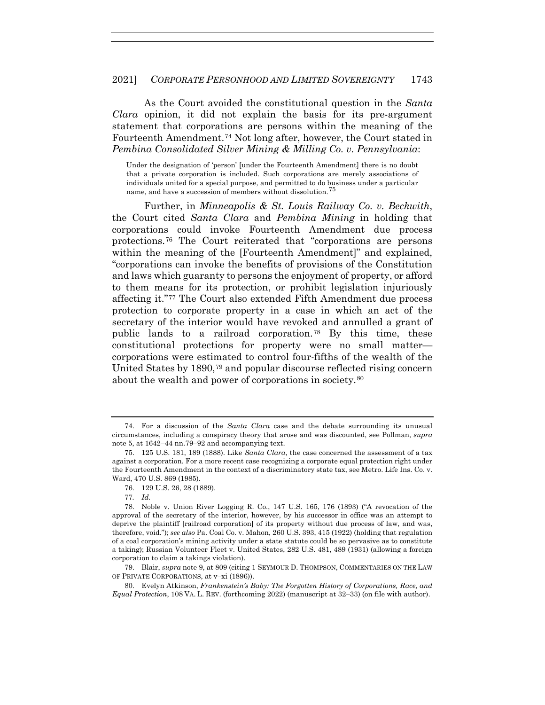As the Court avoided the constitutional question in the *Santa Clara* opinion, it did not explain the basis for its pre-argument statement that corporations are persons within the meaning of the Fourteenth Amendment.74 Not long after, however, the Court stated in *Pembina Consolidated Silver Mining & Milling Co. v. Pennsylvania*:

Under the designation of 'person' [under the Fourteenth Amendment] there is no doubt that a private corporation is included. Such corporations are merely associations of individuals united for a special purpose, and permitted to do business under a particular name, and have a succession of members without dissolution.<sup>75</sup>

Further, in *Minneapolis & St. Louis Railway Co. v. Beckwith*, the Court cited *Santa Clara* and *Pembina Mining* in holding that corporations could invoke Fourteenth Amendment due process protections.76 The Court reiterated that "corporations are persons within the meaning of the [Fourteenth Amendment]" and explained, "corporations can invoke the benefits of provisions of the Constitution and laws which guaranty to persons the enjoyment of property, or afford to them means for its protection, or prohibit legislation injuriously affecting it."77 The Court also extended Fifth Amendment due process protection to corporate property in a case in which an act of the secretary of the interior would have revoked and annulled a grant of public lands to a railroad corporation.78 By this time, these constitutional protections for property were no small matter corporations were estimated to control four-fifths of the wealth of the United States by 1890,79 and popular discourse reflected rising concern about the wealth and power of corporations in society.80

77*. Id.*

 80. Evelyn Atkinson, *Frankenstein's Baby: The Forgotten History of Corporations, Race, and Equal Protection*, 108 VA. L. REV. (forthcoming 2022) (manuscript at 32–33) (on file with author).

 <sup>74.</sup> For a discussion of the *Santa Clara* case and the debate surrounding its unusual circumstances, including a conspiracy theory that arose and was discounted, see Pollman, *supra* note 5, at 1642–44 nn.79–92 and accompanying text.

 <sup>75. 125</sup> U.S. 181, 189 (1888). Like *Santa Clara*, the case concerned the assessment of a tax against a corporation. For a more recent case recognizing a corporate equal protection right under the Fourteenth Amendment in the context of a discriminatory state tax, see Metro. Life Ins. Co. v. Ward, 470 U.S. 869 (1985).

 <sup>76. 129</sup> U.S. 26, 28 (1889).

 <sup>78.</sup> Noble v. Union River Logging R. Co., 147 U.S. 165, 176 (1893) ("A revocation of the approval of the secretary of the interior, however, by his successor in office was an attempt to deprive the plaintiff [railroad corporation] of its property without due process of law, and was, therefore, void."); *see also* Pa. Coal Co. v. Mahon, 260 U.S. 393, 415 (1922) (holding that regulation of a coal corporation's mining activity under a state statute could be so pervasive as to constitute a taking); Russian Volunteer Fleet v. United States, 282 U.S. 481, 489 (1931) (allowing a foreign corporation to claim a takings violation).

 <sup>79.</sup> Blair, *supra* note 9, at 809 (citing 1 SEYMOUR D. THOMPSON, COMMENTARIES ON THE LAW OF PRIVATE CORPORATIONS, at v–xi (1896)).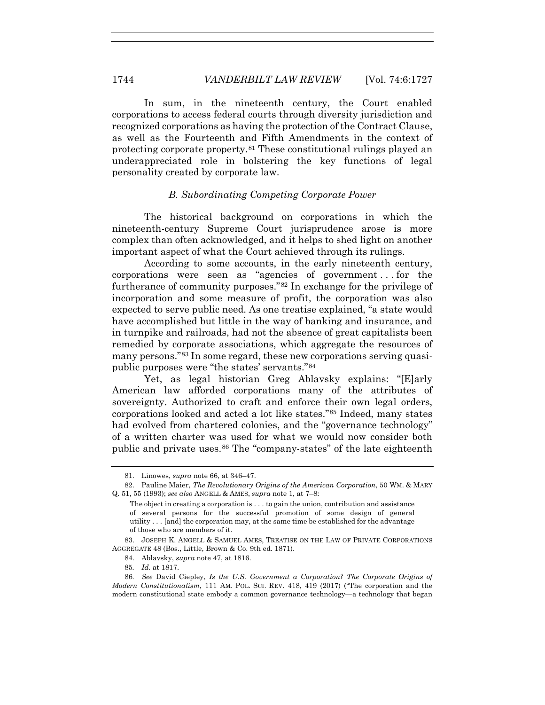In sum, in the nineteenth century, the Court enabled corporations to access federal courts through diversity jurisdiction and recognized corporations as having the protection of the Contract Clause, as well as the Fourteenth and Fifth Amendments in the context of protecting corporate property.81 These constitutional rulings played an underappreciated role in bolstering the key functions of legal personality created by corporate law.

#### *B. Subordinating Competing Corporate Power*

The historical background on corporations in which the nineteenth-century Supreme Court jurisprudence arose is more complex than often acknowledged, and it helps to shed light on another important aspect of what the Court achieved through its rulings.

According to some accounts, in the early nineteenth century, corporations were seen as "agencies of government . . . for the furtherance of community purposes."82 In exchange for the privilege of incorporation and some measure of profit, the corporation was also expected to serve public need. As one treatise explained, "a state would have accomplished but little in the way of banking and insurance, and in turnpike and railroads, had not the absence of great capitalists been remedied by corporate associations, which aggregate the resources of many persons."83 In some regard, these new corporations serving quasipublic purposes were "the states' servants."84

Yet, as legal historian Greg Ablavsky explains: "[E]arly American law afforded corporations many of the attributes of sovereignty. Authorized to craft and enforce their own legal orders, corporations looked and acted a lot like states."85 Indeed, many states had evolved from chartered colonies, and the "governance technology" of a written charter was used for what we would now consider both public and private uses.86 The "company-states" of the late eighteenth

 <sup>81.</sup> Linowes, *supra* note 66, at 346–47.

 <sup>82.</sup> Pauline Maier, *The Revolutionary Origins of the American Corporation*, 50 WM. & MARY Q. 51, 55 (1993); *see also* ANGELL & AMES, *supra* note 1, at 7–8:

The object in creating a corporation is . . . to gain the union, contribution and assistance of several persons for the successful promotion of some design of general utility . . . [and] the corporation may, at the same time be established for the advantage of those who are members of it.

 <sup>83.</sup> JOSEPH K. ANGELL & SAMUEL AMES, TREATISE ON THE LAW OF PRIVATE CORPORATIONS AGGREGATE 48 (Bos., Little, Brown & Co. 9th ed. 1871).

 <sup>84.</sup> Ablavsky, *supra* note 47, at 1816.

<sup>85</sup>*. Id.* at 1817.

<sup>86</sup>*. See* David Ciepley, *Is the U.S. Government a Corporation? The Corporate Origins of Modern Constitutionalism*, 111 AM. POL. SCI. REV. 418, 419 (2017) ("The corporation and the modern constitutional state embody a common governance technology—a technology that began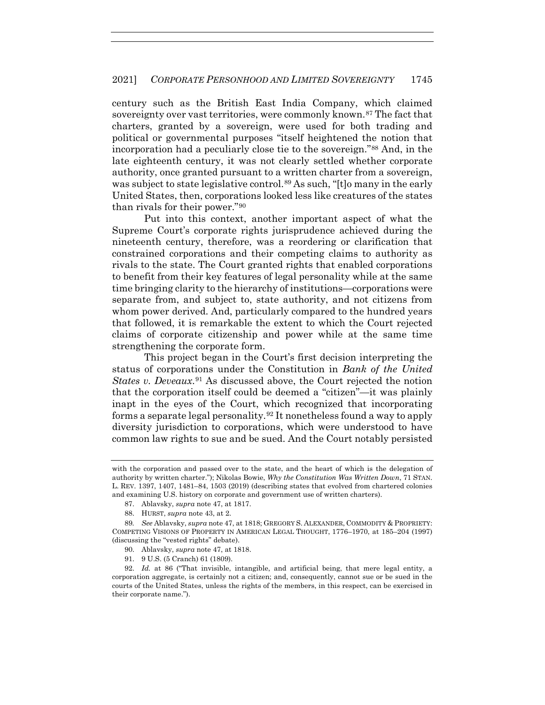century such as the British East India Company, which claimed sovereignty over vast territories, were commonly known.<sup>87</sup> The fact that charters, granted by a sovereign, were used for both trading and political or governmental purposes "itself heightened the notion that incorporation had a peculiarly close tie to the sovereign."88 And, in the late eighteenth century, it was not clearly settled whether corporate authority, once granted pursuant to a written charter from a sovereign, was subject to state legislative control.<sup>89</sup> As such, "[t]o many in the early United States, then, corporations looked less like creatures of the states than rivals for their power."90

Put into this context, another important aspect of what the Supreme Court's corporate rights jurisprudence achieved during the nineteenth century, therefore, was a reordering or clarification that constrained corporations and their competing claims to authority as rivals to the state. The Court granted rights that enabled corporations to benefit from their key features of legal personality while at the same time bringing clarity to the hierarchy of institutions—corporations were separate from, and subject to, state authority, and not citizens from whom power derived. And, particularly compared to the hundred years that followed, it is remarkable the extent to which the Court rejected claims of corporate citizenship and power while at the same time strengthening the corporate form.

This project began in the Court's first decision interpreting the status of corporations under the Constitution in *Bank of the United States v. Deveaux*.91 As discussed above, the Court rejected the notion that the corporation itself could be deemed a "citizen"—it was plainly inapt in the eyes of the Court, which recognized that incorporating forms a separate legal personality.92 It nonetheless found a way to apply diversity jurisdiction to corporations, which were understood to have common law rights to sue and be sued. And the Court notably persisted

91. 9 U.S. (5 Cranch) 61 (1809).

with the corporation and passed over to the state, and the heart of which is the delegation of authority by written charter."); Nikolas Bowie, *Why the Constitution Was Written Down*, 71 STAN. L. REV. 1397, 1407, 1481–84, 1503 (2019) (describing states that evolved from chartered colonies and examining U.S. history on corporate and government use of written charters).

 <sup>87.</sup> Ablavsky, *supra* note 47, at 1817.

 <sup>88.</sup> HURST, *supra* note 43, at 2.

<sup>89</sup>*. See* Ablavsky, *supra* note 47, at 1818; GREGORY S. ALEXANDER, COMMODITY & PROPRIETY: COMPETING VISIONS OF PROPERTY IN AMERICAN LEGAL THOUGHT, 1776–1970, at 185–204 (1997) (discussing the "vested rights" debate).

 <sup>90.</sup> Ablavsky, *supra* note 47, at 1818.

 <sup>92.</sup> *Id.* at 86 ("That invisible, intangible, and artificial being, that mere legal entity, a corporation aggregate, is certainly not a citizen; and, consequently, cannot sue or be sued in the courts of the United States, unless the rights of the members, in this respect, can be exercised in their corporate name.").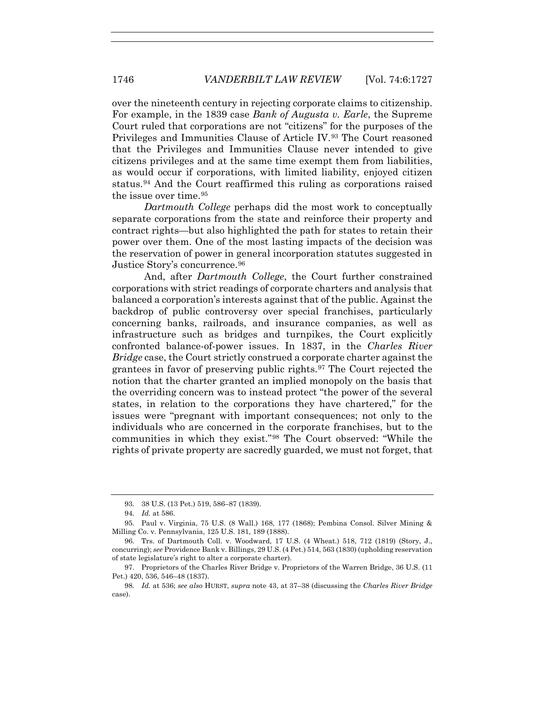over the nineteenth century in rejecting corporate claims to citizenship. For example, in the 1839 case *Bank of Augusta v. Earle*, the Supreme Court ruled that corporations are not "citizens" for the purposes of the Privileges and Immunities Clause of Article IV.93 The Court reasoned that the Privileges and Immunities Clause never intended to give citizens privileges and at the same time exempt them from liabilities, as would occur if corporations, with limited liability, enjoyed citizen status.94 And the Court reaffirmed this ruling as corporations raised the issue over time.95

*Dartmouth College* perhaps did the most work to conceptually separate corporations from the state and reinforce their property and contract rights—but also highlighted the path for states to retain their power over them. One of the most lasting impacts of the decision was the reservation of power in general incorporation statutes suggested in Justice Story's concurrence.96

And, after *Dartmouth College*, the Court further constrained corporations with strict readings of corporate charters and analysis that balanced a corporation's interests against that of the public. Against the backdrop of public controversy over special franchises, particularly concerning banks, railroads, and insurance companies, as well as infrastructure such as bridges and turnpikes, the Court explicitly confronted balance-of-power issues. In 1837, in the *Charles River Bridge* case, the Court strictly construed a corporate charter against the grantees in favor of preserving public rights.97 The Court rejected the notion that the charter granted an implied monopoly on the basis that the overriding concern was to instead protect "the power of the several states, in relation to the corporations they have chartered," for the issues were "pregnant with important consequences; not only to the individuals who are concerned in the corporate franchises, but to the communities in which they exist."98 The Court observed: "While the rights of private property are sacredly guarded, we must not forget, that

 <sup>93. 38</sup> U.S. (13 Pet.) 519, 586–87 (1839).

<sup>94</sup>*. Id.* at 586.

 <sup>95.</sup> Paul v. Virginia, 75 U.S. (8 Wall.) 168, 177 (1868); Pembina Consol. Silver Mining & Milling Co. v. Pennsylvania, 125 U.S. 181, 189 (1888).

 <sup>96.</sup> Trs. of Dartmouth Coll. v. Woodward, 17 U.S. (4 Wheat.) 518, 712 (1819) (Story, J., concurring); *see* Providence Bank v. Billings, 29 U.S. (4 Pet.) 514, 563 (1830) (upholding reservation of state legislature's right to alter a corporate charter).

 <sup>97.</sup> Proprietors of the Charles River Bridge v. Proprietors of the Warren Bridge, 36 U.S. (11 Pet.) 420, 536, 546–48 (1837).

<sup>98</sup>*. Id.* at 536; *see also* HURST, *supra* note 43, at 37–38 (discussing the *Charles River Bridge* case).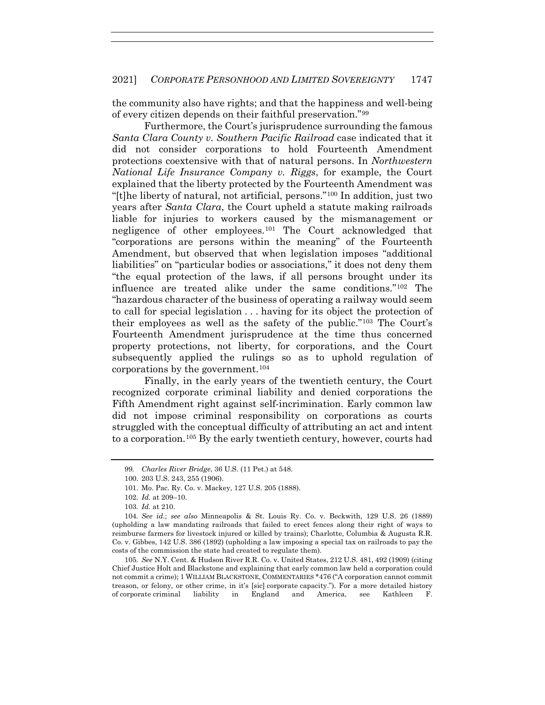the community also have rights; and that the happiness and well-being of every citizen depends on their faithful preservation."99

Furthermore, the Court's jurisprudence surrounding the famous *Santa Clara County v. Southern Pacific Railroad* case indicated that it did not consider corporations to hold Fourteenth Amendment protections coextensive with that of natural persons. In *Northwestern National Life Insurance Company v. Riggs*, for example, the Court explained that the liberty protected by the Fourteenth Amendment was "[t]he liberty of natural, not artificial, persons."100 In addition, just two years after *Santa Clara*, the Court upheld a statute making railroads liable for injuries to workers caused by the mismanagement or negligence of other employees.101 The Court acknowledged that "corporations are persons within the meaning" of the Fourteenth Amendment, but observed that when legislation imposes "additional liabilities" on "particular bodies or associations," it does not deny them "the equal protection of the laws, if all persons brought under its influence are treated alike under the same conditions."102 The "hazardous character of the business of operating a railway would seem to call for special legislation . . . having for its object the protection of their employees as well as the safety of the public."103 The Court's Fourteenth Amendment jurisprudence at the time thus concerned property protections, not liberty, for corporations, and the Court subsequently applied the rulings so as to uphold regulation of corporations by the government.104

Finally, in the early years of the twentieth century, the Court recognized corporate criminal liability and denied corporations the Fifth Amendment right against self-incrimination. Early common law did not impose criminal responsibility on corporations as courts struggled with the conceptual difficulty of attributing an act and intent to a corporation.105 By the early twentieth century, however, courts had

105*. See* N.Y. Cent. & Hudson River R.R. Co. v. United States, 212 U.S. 481, 492 (1909) (citing Chief Justice Holt and Blackstone and explaining that early common law held a corporation could not commit a crime); 1 WILLIAM BLACKSTONE, COMMENTARIES \*476 ("A corporation cannot commit treason, or felony, or other crime, in it's [sic] corporate capacity."). For a more detailed history of corporate criminal liability in England and America, see Kathleen F.

<sup>99</sup>*. Charles River Bridge*, 36 U.S. (11 Pet.) at 548.

 <sup>100. 203</sup> U.S. 243, 255 (1906).

 <sup>101.</sup> Mo. Pac. Ry. Co. v. Mackey, 127 U.S. 205 (1888).

<sup>102</sup>*. Id.* at 209–10.

<sup>103</sup>*. Id.* at 210.

<sup>104</sup>*. See id.*; *see also* Minneapolis & St. Louis Ry. Co. v. Beckwith, 129 U.S. 26 (1889) (upholding a law mandating railroads that failed to erect fences along their right of ways to reimburse farmers for livestock injured or killed by trains); Charlotte, Columbia & Augusta R.R. Co. v. Gibbes, 142 U.S. 386 (1892) (upholding a law imposing a special tax on railroads to pay the costs of the commission the state had created to regulate them).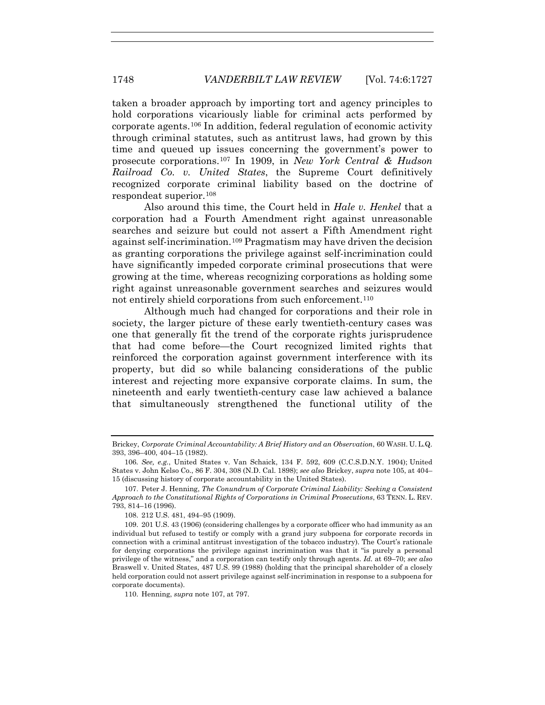taken a broader approach by importing tort and agency principles to hold corporations vicariously liable for criminal acts performed by corporate agents.106 In addition, federal regulation of economic activity through criminal statutes, such as antitrust laws, had grown by this time and queued up issues concerning the government's power to prosecute corporations.107 In 1909, in *New York Central & Hudson Railroad Co. v. United States*, the Supreme Court definitively recognized corporate criminal liability based on the doctrine of respondeat superior.108

Also around this time, the Court held in *Hale v. Henkel* that a corporation had a Fourth Amendment right against unreasonable searches and seizure but could not assert a Fifth Amendment right against self-incrimination.109 Pragmatism may have driven the decision as granting corporations the privilege against self-incrimination could have significantly impeded corporate criminal prosecutions that were growing at the time, whereas recognizing corporations as holding some right against unreasonable government searches and seizures would not entirely shield corporations from such enforcement.<sup>110</sup>

Although much had changed for corporations and their role in society, the larger picture of these early twentieth-century cases was one that generally fit the trend of the corporate rights jurisprudence that had come before—the Court recognized limited rights that reinforced the corporation against government interference with its property, but did so while balancing considerations of the public interest and rejecting more expansive corporate claims. In sum, the nineteenth and early twentieth-century case law achieved a balance that simultaneously strengthened the functional utility of the

110. Henning, *supra* note 107, at 797.

Brickey, *Corporate Criminal Accountability: A Brief History and an Observation*, 60 WASH. U. L.Q. 393, 396–400, 404–15 (1982).

<sup>106</sup>*. See, e.g.*, United States v. Van Schaick, 134 F. 592, 609 (C.C.S.D.N.Y. 1904); United States v. John Kelso Co., 86 F. 304, 308 (N.D. Cal. 1898); *see also* Brickey, *supra* note 105, at 404– 15 (discussing history of corporate accountability in the United States).

<sup>107.</sup> Peter J. Henning, *The Conundrum of Corporate Criminal Liability: Seeking a Consistent Approach to the Constitutional Rights of Corporations in Criminal Prosecutions*, 63 TENN. L. REV. 793, 814–16 (1996).

 <sup>108. 212</sup> U.S. 481, 494–95 (1909).

 <sup>109. 201</sup> U.S. 43 (1906) (considering challenges by a corporate officer who had immunity as an individual but refused to testify or comply with a grand jury subpoena for corporate records in connection with a criminal antitrust investigation of the tobacco industry). The Court's rationale for denying corporations the privilege against incrimination was that it "is purely a personal privilege of the witness," and a corporation can testify only through agents. *Id.* at 69–70; *see also* Braswell v. United States, 487 U.S. 99 (1988) (holding that the principal shareholder of a closely held corporation could not assert privilege against self-incrimination in response to a subpoena for corporate documents).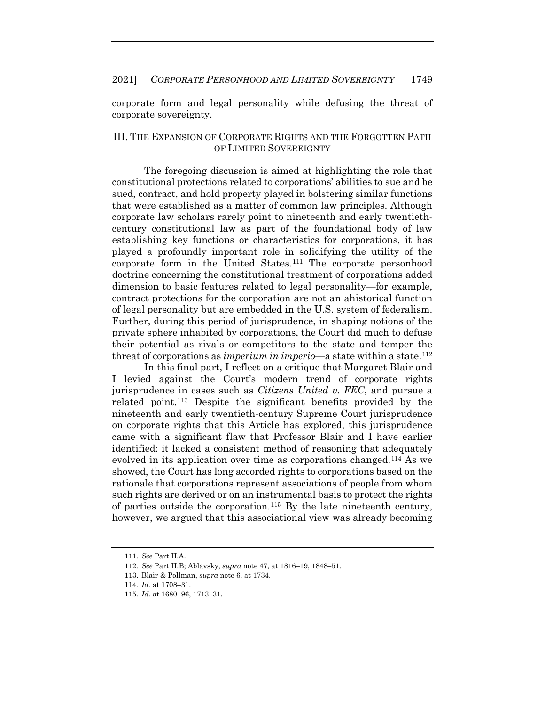corporate form and legal personality while defusing the threat of corporate sovereignty.

#### III. THE EXPANSION OF CORPORATE RIGHTS AND THE FORGOTTEN PATH OF LIMITED SOVEREIGNTY

The foregoing discussion is aimed at highlighting the role that constitutional protections related to corporations' abilities to sue and be sued, contract, and hold property played in bolstering similar functions that were established as a matter of common law principles. Although corporate law scholars rarely point to nineteenth and early twentiethcentury constitutional law as part of the foundational body of law establishing key functions or characteristics for corporations, it has played a profoundly important role in solidifying the utility of the corporate form in the United States.111 The corporate personhood doctrine concerning the constitutional treatment of corporations added dimension to basic features related to legal personality—for example, contract protections for the corporation are not an ahistorical function of legal personality but are embedded in the U.S. system of federalism. Further, during this period of jurisprudence, in shaping notions of the private sphere inhabited by corporations, the Court did much to defuse their potential as rivals or competitors to the state and temper the threat of corporations as *imperium in imperio*—a state within a state.112

In this final part, I reflect on a critique that Margaret Blair and I levied against the Court's modern trend of corporate rights jurisprudence in cases such as *Citizens United v. FEC*, and pursue a related point.113 Despite the significant benefits provided by the nineteenth and early twentieth-century Supreme Court jurisprudence on corporate rights that this Article has explored, this jurisprudence came with a significant flaw that Professor Blair and I have earlier identified: it lacked a consistent method of reasoning that adequately evolved in its application over time as corporations changed.114 As we showed, the Court has long accorded rights to corporations based on the rationale that corporations represent associations of people from whom such rights are derived or on an instrumental basis to protect the rights of parties outside the corporation.115 By the late nineteenth century, however, we argued that this associational view was already becoming

<sup>111</sup>*. See* Part II.A.

<sup>112</sup>*. See* Part II.B; Ablavsky, *supra* note 47, at 1816–19, 1848–51.

 <sup>113.</sup> Blair & Pollman, *supra* note 6, at 1734.

<sup>114</sup>*. Id.* at 1708–31.

<sup>115</sup>*. Id.* at 1680–96, 1713–31.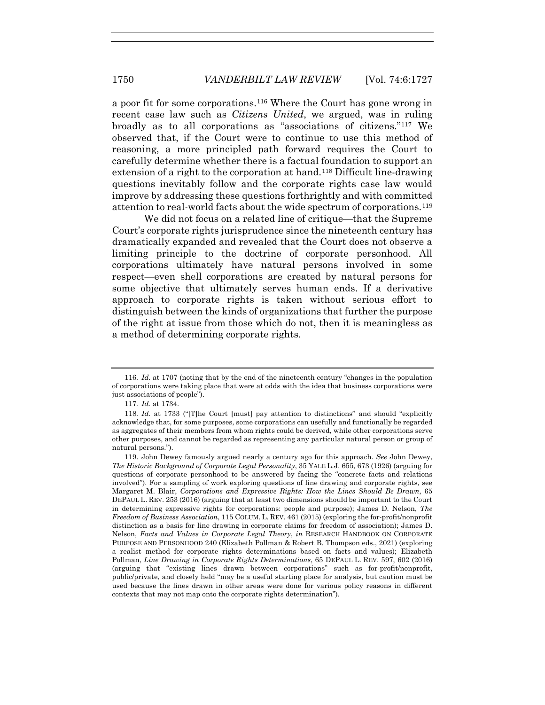a poor fit for some corporations.116 Where the Court has gone wrong in recent case law such as *Citizens United*, we argued, was in ruling broadly as to all corporations as "associations of citizens."117 We observed that, if the Court were to continue to use this method of reasoning, a more principled path forward requires the Court to carefully determine whether there is a factual foundation to support an extension of a right to the corporation at hand.<sup>118</sup> Difficult line-drawing questions inevitably follow and the corporate rights case law would improve by addressing these questions forthrightly and with committed attention to real-world facts about the wide spectrum of corporations.119

We did not focus on a related line of critique—that the Supreme Court's corporate rights jurisprudence since the nineteenth century has dramatically expanded and revealed that the Court does not observe a limiting principle to the doctrine of corporate personhood. All corporations ultimately have natural persons involved in some respect—even shell corporations are created by natural persons for some objective that ultimately serves human ends. If a derivative approach to corporate rights is taken without serious effort to distinguish between the kinds of organizations that further the purpose of the right at issue from those which do not, then it is meaningless as a method of determining corporate rights.

<sup>116</sup>*. Id.* at 1707 (noting that by the end of the nineteenth century "changes in the population of corporations were taking place that were at odds with the idea that business corporations were just associations of people").

<sup>117</sup>*. Id.* at 1734.

<sup>118</sup>*. Id.* at 1733 ("[T]he Court [must] pay attention to distinctions" and should "explicitly acknowledge that, for some purposes, some corporations can usefully and functionally be regarded as aggregates of their members from whom rights could be derived, while other corporations serve other purposes, and cannot be regarded as representing any particular natural person or group of natural persons.").

 <sup>119.</sup> John Dewey famously argued nearly a century ago for this approach. *See* John Dewey, *The Historic Background of Corporate Legal Personality*, 35 YALE L.J. 655, 673 (1926) (arguing for questions of corporate personhood to be answered by facing the "concrete facts and relations involved"). For a sampling of work exploring questions of line drawing and corporate rights, see Margaret M. Blair, *Corporations and Expressive Rights: How the Lines Should Be Drawn*, 65 DEPAUL L. REV. 253 (2016) (arguing that at least two dimensions should be important to the Court in determining expressive rights for corporations: people and purpose); James D. Nelson, *The Freedom of Business Association*, 115 COLUM. L. REV. 461 (2015) (exploring the for-profit/nonprofit distinction as a basis for line drawing in corporate claims for freedom of association); James D. Nelson, *Facts and Values in Corporate Legal Theory*, *in* RESEARCH HANDBOOK ON CORPORATE PURPOSE AND PERSONHOOD 240 (Elizabeth Pollman & Robert B. Thompson eds., 2021) (exploring a realist method for corporate rights determinations based on facts and values); Elizabeth Pollman, *Line Drawing in Corporate Rights Determinations*, 65 DEPAUL L. REV. 597, 602 (2016) (arguing that "existing lines drawn between corporations" such as for-profit/nonprofit, public/private, and closely held "may be a useful starting place for analysis, but caution must be used because the lines drawn in other areas were done for various policy reasons in different contexts that may not map onto the corporate rights determination").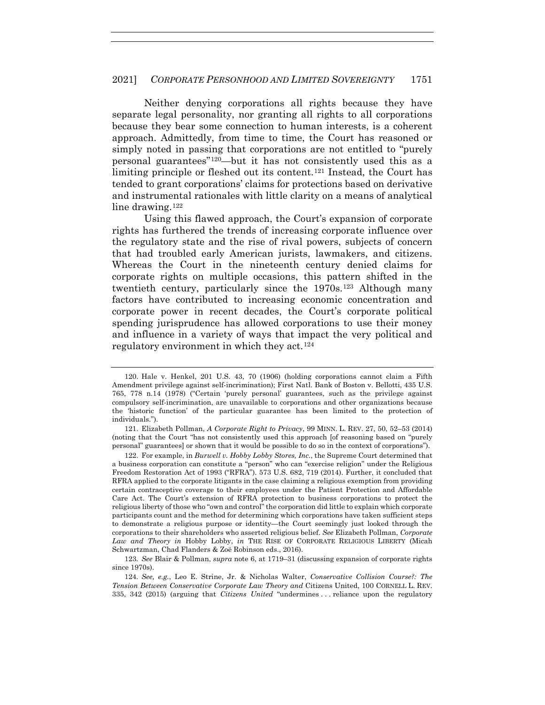Neither denying corporations all rights because they have separate legal personality, nor granting all rights to all corporations because they bear some connection to human interests, is a coherent approach. Admittedly, from time to time, the Court has reasoned or simply noted in passing that corporations are not entitled to "purely personal guarantees"120—but it has not consistently used this as a limiting principle or fleshed out its content.121 Instead, the Court has tended to grant corporations' claims for protections based on derivative and instrumental rationales with little clarity on a means of analytical line drawing.<sup>122</sup>

Using this flawed approach, the Court's expansion of corporate rights has furthered the trends of increasing corporate influence over the regulatory state and the rise of rival powers, subjects of concern that had troubled early American jurists, lawmakers, and citizens. Whereas the Court in the nineteenth century denied claims for corporate rights on multiple occasions, this pattern shifted in the twentieth century, particularly since the 1970s.<sup>123</sup> Although many factors have contributed to increasing economic concentration and corporate power in recent decades, the Court's corporate political spending jurisprudence has allowed corporations to use their money and influence in a variety of ways that impact the very political and regulatory environment in which they act.124

123*. See* Blair & Pollman, *supra* note 6, at 1719–31 (discussing expansion of corporate rights since 1970s).

 <sup>120.</sup> Hale v. Henkel, 201 U.S. 43, 70 (1906) (holding corporations cannot claim a Fifth Amendment privilege against self-incrimination); First Natl. Bank of Boston v. Bellotti, 435 U.S. 765, 778 n.14 (1978) ("Certain 'purely personal' guarantees, such as the privilege against compulsory self-incrimination, are unavailable to corporations and other organizations because the 'historic function' of the particular guarantee has been limited to the protection of individuals.").

 <sup>121.</sup> Elizabeth Pollman, *A Corporate Right to Privacy*, 99 MINN. L. REV. 27, 50, 52–53 (2014) (noting that the Court "has not consistently used this approach [of reasoning based on "purely personal" guarantees] or shown that it would be possible to do so in the context of corporations").

 <sup>122.</sup> For example, in *Burwell v. Hobby Lobby Stores, Inc.*, the Supreme Court determined that a business corporation can constitute a "person" who can "exercise religion" under the Religious Freedom Restoration Act of 1993 ("RFRA"). 573 U.S. 682, 719 (2014). Further, it concluded that RFRA applied to the corporate litigants in the case claiming a religious exemption from providing certain contraceptive coverage to their employees under the Patient Protection and Affordable Care Act. The Court's extension of RFRA protection to business corporations to protect the religious liberty of those who "own and control" the corporation did little to explain which corporate participants count and the method for determining which corporations have taken sufficient steps to demonstrate a religious purpose or identity—the Court seemingly just looked through the corporations to their shareholders who asserted religious belief. *See* Elizabeth Pollman, *Corporate Law and Theory in* Hobby Lobby, *in* THE RISE OF CORPORATE RELIGIOUS LIBERTY (Micah Schwartzman, Chad Flanders & Zoë Robinson eds., 2016).

<sup>124</sup>*. See, e.g.*, Leo E. Strine, Jr. & Nicholas Walter, *Conservative Collision Course?: The Tension Between Conservative Corporate Law Theory and* Citizens United, 100 CORNELL L. REV. 335, 342 (2015) (arguing that *Citizens United* "undermines . . . reliance upon the regulatory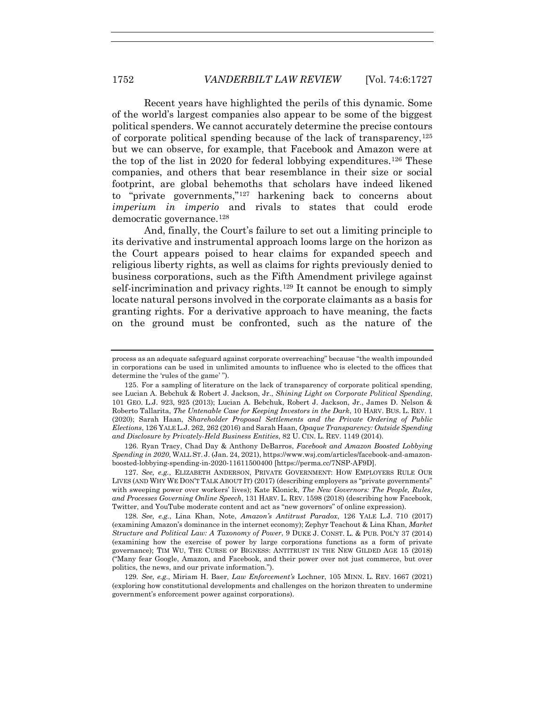Recent years have highlighted the perils of this dynamic. Some of the world's largest companies also appear to be some of the biggest political spenders. We cannot accurately determine the precise contours of corporate political spending because of the lack of transparency,  $125$ but we can observe, for example, that Facebook and Amazon were at the top of the list in 2020 for federal lobbying expenditures.<sup>126</sup> These companies, and others that bear resemblance in their size or social footprint, are global behemoths that scholars have indeed likened to "private governments,"127 harkening back to concerns about *imperium in imperio* and rivals to states that could erode democratic governance.128

And, finally, the Court's failure to set out a limiting principle to its derivative and instrumental approach looms large on the horizon as the Court appears poised to hear claims for expanded speech and religious liberty rights, as well as claims for rights previously denied to business corporations, such as the Fifth Amendment privilege against self-incrimination and privacy rights.<sup>129</sup> It cannot be enough to simply locate natural persons involved in the corporate claimants as a basis for granting rights. For a derivative approach to have meaning, the facts on the ground must be confronted, such as the nature of the

 126. Ryan Tracy, Chad Day & Anthony DeBarros, *Facebook and Amazon Boosted Lobbying Spending in 2020*, WALL ST. J. (Jan. 24, 2021), https://www.wsj.com/articles/facebook-and-amazonboosted-lobbying-spending-in-2020-11611500400 [https://perma.cc/7NSP-AF9D].

127*. See, e.g.*, ELIZABETH ANDERSON, PRIVATE GOVERNMENT: HOW EMPLOYERS RULE OUR LIVES (AND WHY WE DON'T TALK ABOUT IT) (2017) (describing employers as "private governments" with sweeping power over workers' lives); Kate Klonick, *The New Governors: The People, Rules, and Processes Governing Online Speech*, 131 HARV. L. REV. 1598 (2018) (describing how Facebook, Twitter, and YouTube moderate content and act as "new governors" of online expression).

128*. See, e.g.*, Lina Khan, Note, *Amazon's Antitrust Paradox*, 126 YALE L.J. 710 (2017) (examining Amazon's dominance in the internet economy); Zephyr Teachout & Lina Khan, *Market Structure and Political Law: A Taxonomy of Power*, 9 DUKE J. CONST. L. & PUB. POL'Y 37 (2014) (examining how the exercise of power by large corporations functions as a form of private governance); TIM WU, THE CURSE OF BIGNESS: ANTITRUST IN THE NEW GILDED AGE 15 (2018) ("Many fear Google, Amazon, and Facebook, and their power over not just commerce, but over politics, the news, and our private information.").

129*. See, e.g.*, Miriam H. Baer, *Law Enforcement's* Lochner, 105 MINN. L. REV. 1667 (2021) (exploring how constitutional developments and challenges on the horizon threaten to undermine government's enforcement power against corporations).

process as an adequate safeguard against corporate overreaching" because "the wealth impounded in corporations can be used in unlimited amounts to influence who is elected to the offices that determine the 'rules of the game' ").

 <sup>125.</sup> For a sampling of literature on the lack of transparency of corporate political spending, see Lucian A. Bebchuk & Robert J. Jackson, Jr., *Shining Light on Corporate Political Spending*, 101 GEO. L.J. 923, 925 (2013); Lucian A. Bebchuk, Robert J. Jackson, Jr., James D. Nelson & Roberto Tallarita, *The Untenable Case for Keeping Investors in the Dark*, 10 HARV. BUS. L. REV. 1 (2020); Sarah Haan, *Shareholder Proposal Settlements and the Private Ordering of Public Elections*, 126 YALE L.J. 262, 262 (2016) and Sarah Haan, *Opaque Transparency: Outside Spending and Disclosure by Privately-Held Business Entities*, 82 U. CIN. L. REV. 1149 (2014).